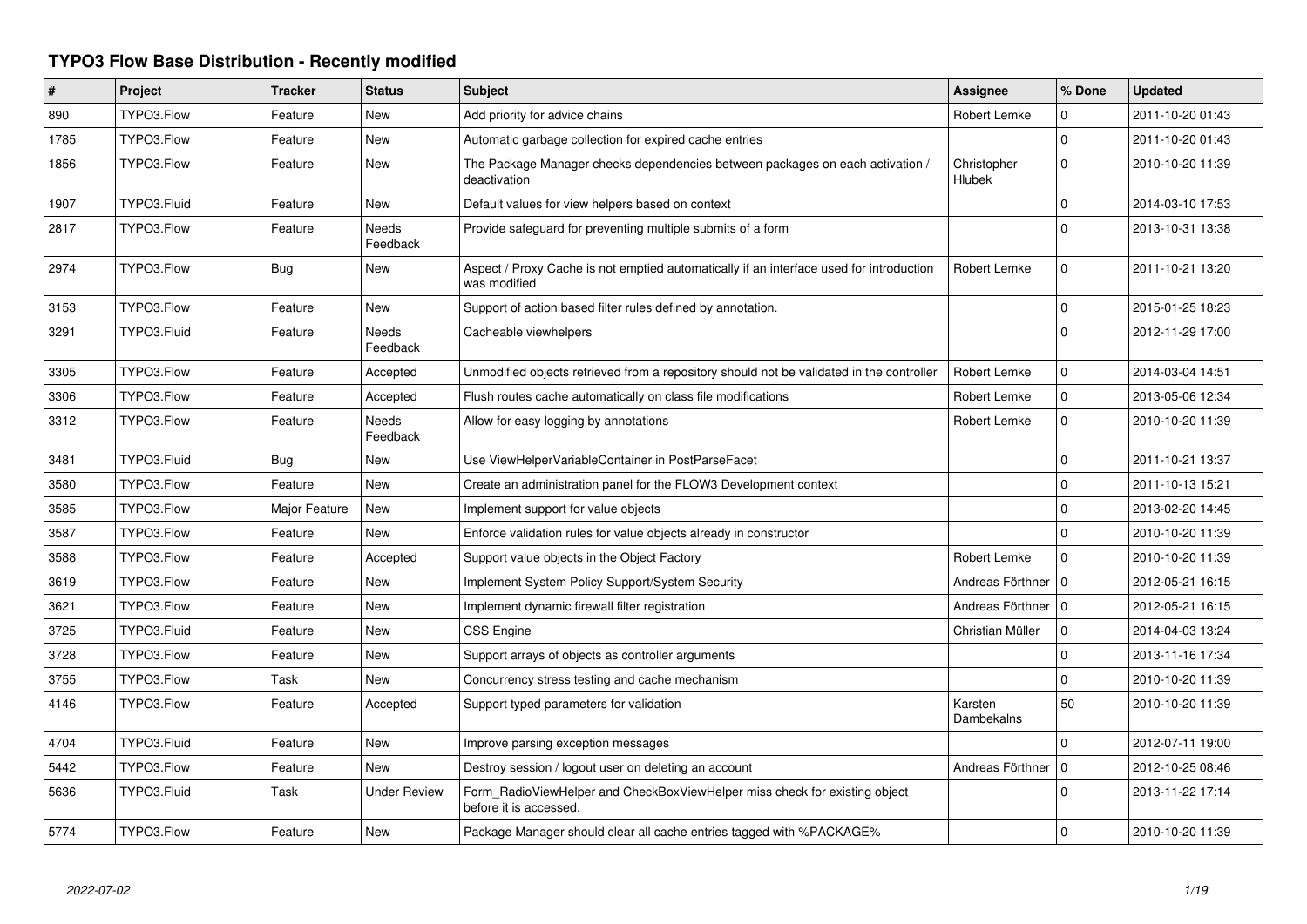## **TYPO3 Flow Base Distribution - Recently modified**

| #    | Project     | <b>Tracker</b> | <b>Status</b>       | <b>Subject</b>                                                                                          | Assignee              | % Done       | <b>Updated</b>   |
|------|-------------|----------------|---------------------|---------------------------------------------------------------------------------------------------------|-----------------------|--------------|------------------|
| 890  | TYPO3.Flow  | Feature        | New                 | Add priority for advice chains                                                                          | Robert Lemke          | 0            | 2011-10-20 01:43 |
| 1785 | TYPO3.Flow  | Feature        | New                 | Automatic garbage collection for expired cache entries                                                  |                       | $\mathbf{0}$ | 2011-10-20 01:43 |
| 1856 | TYPO3.Flow  | Feature        | New                 | The Package Manager checks dependencies between packages on each activation /<br>deactivation           | Christopher<br>Hlubek | $\mathbf 0$  | 2010-10-20 11:39 |
| 1907 | TYPO3.Fluid | Feature        | New                 | Default values for view helpers based on context                                                        |                       | $\mathbf 0$  | 2014-03-10 17:53 |
| 2817 | TYPO3.Flow  | Feature        | Needs<br>Feedback   | Provide safeguard for preventing multiple submits of a form                                             |                       | $\mathbf 0$  | 2013-10-31 13:38 |
| 2974 | TYPO3.Flow  | <b>Bug</b>     | New                 | Aspect / Proxy Cache is not emptied automatically if an interface used for introduction<br>was modified | Robert Lemke          | 0            | 2011-10-21 13:20 |
| 3153 | TYPO3.Flow  | Feature        | New                 | Support of action based filter rules defined by annotation.                                             |                       | $\mathbf 0$  | 2015-01-25 18:23 |
| 3291 | TYPO3.Fluid | Feature        | Needs<br>Feedback   | Cacheable viewhelpers                                                                                   |                       | $\Omega$     | 2012-11-29 17:00 |
| 3305 | TYPO3.Flow  | Feature        | Accepted            | Unmodified objects retrieved from a repository should not be validated in the controller                | Robert Lemke          | $\mathbf 0$  | 2014-03-04 14:51 |
| 3306 | TYPO3.Flow  | Feature        | Accepted            | Flush routes cache automatically on class file modifications                                            | Robert Lemke          | $\mathbf{0}$ | 2013-05-06 12:34 |
| 3312 | TYPO3.Flow  | Feature        | Needs<br>Feedback   | Allow for easy logging by annotations                                                                   | Robert Lemke          | $\Omega$     | 2010-10-20 11:39 |
| 3481 | TYPO3.Fluid | Bug            | New                 | Use ViewHelperVariableContainer in PostParseFacet                                                       |                       | $\Omega$     | 2011-10-21 13:37 |
| 3580 | TYPO3.Flow  | Feature        | New                 | Create an administration panel for the FLOW3 Development context                                        |                       | $\mathbf{0}$ | 2011-10-13 15:21 |
| 3585 | TYPO3.Flow  | Major Feature  | New                 | Implement support for value objects                                                                     |                       | 0            | 2013-02-20 14:45 |
| 3587 | TYPO3.Flow  | Feature        | New                 | Enforce validation rules for value objects already in constructor                                       |                       | $\mathbf{0}$ | 2010-10-20 11:39 |
| 3588 | TYPO3.Flow  | Feature        | Accepted            | Support value objects in the Object Factory                                                             | Robert Lemke          | $\mathbf 0$  | 2010-10-20 11:39 |
| 3619 | TYPO3.Flow  | Feature        | New                 | Implement System Policy Support/System Security                                                         | Andreas Förthner   0  |              | 2012-05-21 16:15 |
| 3621 | TYPO3.Flow  | Feature        | New                 | Implement dynamic firewall filter registration                                                          | Andreas Förthner   0  |              | 2012-05-21 16:15 |
| 3725 | TYPO3.Fluid | Feature        | New                 | CSS Engine                                                                                              | Christian Müller      | $\mathbf 0$  | 2014-04-03 13:24 |
| 3728 | TYPO3.Flow  | Feature        | New                 | Support arrays of objects as controller arguments                                                       |                       | $\mathbf 0$  | 2013-11-16 17:34 |
| 3755 | TYPO3.Flow  | Task           | New                 | Concurrency stress testing and cache mechanism                                                          |                       | $\Omega$     | 2010-10-20 11:39 |
| 4146 | TYPO3.Flow  | Feature        | Accepted            | Support typed parameters for validation                                                                 | Karsten<br>Dambekalns | 50           | 2010-10-20 11:39 |
| 4704 | TYPO3.Fluid | Feature        | New                 | Improve parsing exception messages                                                                      |                       | 0            | 2012-07-11 19:00 |
| 5442 | TYPO3.Flow  | Feature        | New                 | Destroy session / logout user on deleting an account                                                    | Andreas Förthner      | l O          | 2012-10-25 08:46 |
| 5636 | TYPO3.Fluid | Task           | <b>Under Review</b> | Form RadioViewHelper and CheckBoxViewHelper miss check for existing object<br>before it is accessed.    |                       | $\Omega$     | 2013-11-22 17:14 |
| 5774 | TYPO3.Flow  | Feature        | New                 | Package Manager should clear all cache entries tagged with %PACKAGE%                                    |                       | $\mathbf 0$  | 2010-10-20 11:39 |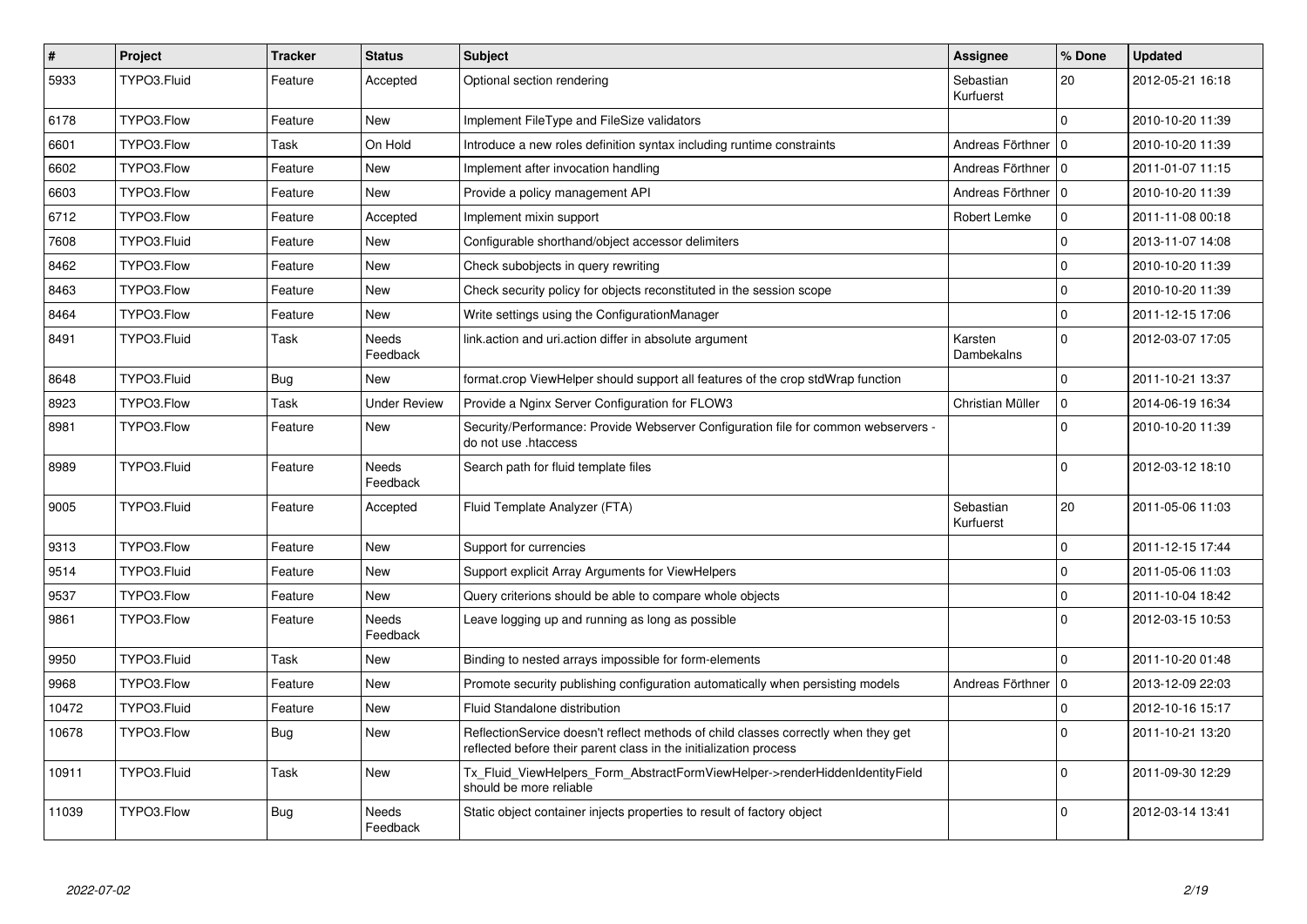| $\vert$ # | Project     | <b>Tracker</b> | <b>Status</b>       | <b>Subject</b>                                                                                                                                          | <b>Assignee</b>        | % Done       | <b>Updated</b>   |
|-----------|-------------|----------------|---------------------|---------------------------------------------------------------------------------------------------------------------------------------------------------|------------------------|--------------|------------------|
| 5933      | TYPO3.Fluid | Feature        | Accepted            | Optional section rendering                                                                                                                              | Sebastian<br>Kurfuerst | 20           | 2012-05-21 16:18 |
| 6178      | TYPO3.Flow  | Feature        | New                 | Implement FileType and FileSize validators                                                                                                              |                        | $\Omega$     | 2010-10-20 11:39 |
| 6601      | TYPO3.Flow  | Task           | On Hold             | Introduce a new roles definition syntax including runtime constraints                                                                                   | Andreas Förthner   0   |              | 2010-10-20 11:39 |
| 6602      | TYPO3.Flow  | Feature        | New                 | Implement after invocation handling                                                                                                                     | Andreas Förthner       | l O          | 2011-01-07 11:15 |
| 6603      | TYPO3.Flow  | Feature        | New                 | Provide a policy management API                                                                                                                         | Andreas Förthner   0   |              | 2010-10-20 11:39 |
| 6712      | TYPO3.Flow  | Feature        | Accepted            | Implement mixin support                                                                                                                                 | Robert Lemke           | $\mathbf 0$  | 2011-11-08 00:18 |
| 7608      | TYPO3.Fluid | Feature        | New                 | Configurable shorthand/object accessor delimiters                                                                                                       |                        | $\mathbf 0$  | 2013-11-07 14:08 |
| 8462      | TYPO3.Flow  | Feature        | New                 | Check subobjects in query rewriting                                                                                                                     |                        | $\mathbf{0}$ | 2010-10-20 11:39 |
| 8463      | TYPO3.Flow  | Feature        | New                 | Check security policy for objects reconstituted in the session scope                                                                                    |                        | $\mathbf 0$  | 2010-10-20 11:39 |
| 8464      | TYPO3.Flow  | Feature        | New                 | Write settings using the ConfigurationManager                                                                                                           |                        | $\mathbf 0$  | 2011-12-15 17:06 |
| 8491      | TYPO3.Fluid | Task           | Needs<br>Feedback   | link action and uri action differ in absolute argument                                                                                                  | Karsten<br>Dambekalns  | $\mathbf{0}$ | 2012-03-07 17:05 |
| 8648      | TYPO3.Fluid | <b>Bug</b>     | New                 | format.crop ViewHelper should support all features of the crop stdWrap function                                                                         |                        | $\mathbf{0}$ | 2011-10-21 13:37 |
| 8923      | TYPO3.Flow  | Task           | <b>Under Review</b> | Provide a Nginx Server Configuration for FLOW3                                                                                                          | Christian Müller       | $\mathbf 0$  | 2014-06-19 16:34 |
| 8981      | TYPO3.Flow  | Feature        | New                 | Security/Performance: Provide Webserver Configuration file for common webservers -<br>do not use .htaccess                                              |                        | $\Omega$     | 2010-10-20 11:39 |
| 8989      | TYPO3.Fluid | Feature        | Needs<br>Feedback   | Search path for fluid template files                                                                                                                    |                        | $\Omega$     | 2012-03-12 18:10 |
| 9005      | TYPO3.Fluid | Feature        | Accepted            | Fluid Template Analyzer (FTA)                                                                                                                           | Sebastian<br>Kurfuerst | 20           | 2011-05-06 11:03 |
| 9313      | TYPO3.Flow  | Feature        | New                 | Support for currencies                                                                                                                                  |                        | $\mathbf 0$  | 2011-12-15 17:44 |
| 9514      | TYPO3.Fluid | Feature        | New                 | Support explicit Array Arguments for ViewHelpers                                                                                                        |                        | $\mathbf 0$  | 2011-05-06 11:03 |
| 9537      | TYPO3.Flow  | Feature        | New                 | Query criterions should be able to compare whole objects                                                                                                |                        | $\mathbf 0$  | 2011-10-04 18:42 |
| 9861      | TYPO3.Flow  | Feature        | Needs<br>Feedback   | Leave logging up and running as long as possible                                                                                                        |                        | $\mathbf 0$  | 2012-03-15 10:53 |
| 9950      | TYPO3.Fluid | Task           | New                 | Binding to nested arrays impossible for form-elements                                                                                                   |                        | $\Omega$     | 2011-10-20 01:48 |
| 9968      | TYPO3.Flow  | Feature        | New                 | Promote security publishing configuration automatically when persisting models                                                                          | Andreas Förthner       | l O          | 2013-12-09 22:03 |
| 10472     | TYPO3.Fluid | Feature        | New                 | Fluid Standalone distribution                                                                                                                           |                        | $\mathbf 0$  | 2012-10-16 15:17 |
| 10678     | TYPO3.Flow  | Bug            | New                 | ReflectionService doesn't reflect methods of child classes correctly when they get<br>reflected before their parent class in the initialization process |                        | $\mathbf{0}$ | 2011-10-21 13:20 |
| 10911     | TYPO3.Fluid | Task           | New                 | Tx Fluid ViewHelpers Form AbstractFormViewHelper->renderHiddenIdentityField<br>should be more reliable                                                  |                        | $\Omega$     | 2011-09-30 12:29 |
| 11039     | TYPO3.Flow  | <b>Bug</b>     | Needs<br>Feedback   | Static object container injects properties to result of factory object                                                                                  |                        | $\Omega$     | 2012-03-14 13:41 |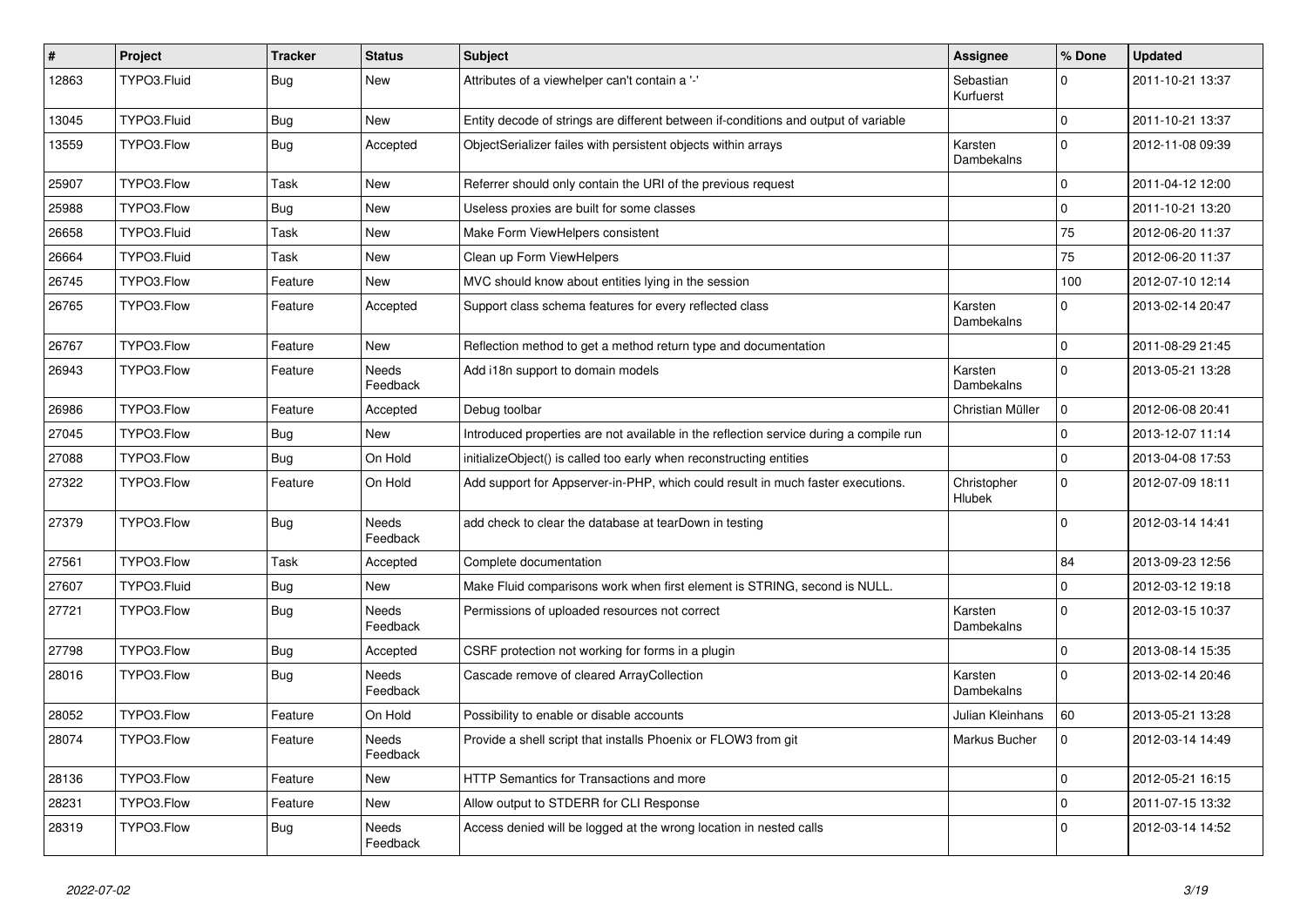| $\vert$ # | Project     | <b>Tracker</b> | <b>Status</b>     | <b>Subject</b>                                                                         | <b>Assignee</b>              | % Done       | <b>Updated</b>   |
|-----------|-------------|----------------|-------------------|----------------------------------------------------------------------------------------|------------------------------|--------------|------------------|
| 12863     | TYPO3.Fluid | <b>Bug</b>     | <b>New</b>        | Attributes of a viewhelper can't contain a '-'                                         | Sebastian<br>Kurfuerst       | 0            | 2011-10-21 13:37 |
| 13045     | TYPO3.Fluid | <b>Bug</b>     | <b>New</b>        | Entity decode of strings are different between if-conditions and output of variable    |                              | $\Omega$     | 2011-10-21 13:37 |
| 13559     | TYPO3.Flow  | <b>Bug</b>     | Accepted          | ObjectSerializer failes with persistent objects within arrays                          | Karsten<br><b>Dambekalns</b> | $\mathbf{0}$ | 2012-11-08 09:39 |
| 25907     | TYPO3.Flow  | Task           | <b>New</b>        | Referrer should only contain the URI of the previous request                           |                              | $\Omega$     | 2011-04-12 12:00 |
| 25988     | TYPO3.Flow  | Bug            | New               | Useless proxies are built for some classes                                             |                              | $\mathbf{0}$ | 2011-10-21 13:20 |
| 26658     | TYPO3.Fluid | Task           | New               | Make Form ViewHelpers consistent                                                       |                              | 75           | 2012-06-20 11:37 |
| 26664     | TYPO3.Fluid | Task           | New               | Clean up Form ViewHelpers                                                              |                              | 75           | 2012-06-20 11:37 |
| 26745     | TYPO3.Flow  | Feature        | New               | MVC should know about entities lying in the session                                    |                              | 100          | 2012-07-10 12:14 |
| 26765     | TYPO3.Flow  | Feature        | Accepted          | Support class schema features for every reflected class                                | Karsten<br>Dambekalns        | $\mathbf 0$  | 2013-02-14 20:47 |
| 26767     | TYPO3.Flow  | Feature        | New               | Reflection method to get a method return type and documentation                        |                              | $\Omega$     | 2011-08-29 21:45 |
| 26943     | TYPO3.Flow  | Feature        | Needs<br>Feedback | Add i18n support to domain models                                                      | Karsten<br>Dambekalns        | $\mathbf{0}$ | 2013-05-21 13:28 |
| 26986     | TYPO3.Flow  | Feature        | Accepted          | Debug toolbar                                                                          | Christian Müller             | $\mathbf{0}$ | 2012-06-08 20:41 |
| 27045     | TYPO3.Flow  | <b>Bug</b>     | <b>New</b>        | Introduced properties are not available in the reflection service during a compile run |                              | $\mathbf{0}$ | 2013-12-07 11:14 |
| 27088     | TYPO3.Flow  | <b>Bug</b>     | On Hold           | initializeObject() is called too early when reconstructing entities                    |                              | $\mathbf{0}$ | 2013-04-08 17:53 |
| 27322     | TYPO3.Flow  | Feature        | On Hold           | Add support for Appserver-in-PHP, which could result in much faster executions.        | Christopher<br>Hlubek        | $\mathbf 0$  | 2012-07-09 18:11 |
| 27379     | TYPO3.Flow  | Bug            | Needs<br>Feedback | add check to clear the database at tearDown in testing                                 |                              | $\Omega$     | 2012-03-14 14:41 |
| 27561     | TYPO3.Flow  | Task           | Accepted          | Complete documentation                                                                 |                              | 84           | 2013-09-23 12:56 |
| 27607     | TYPO3.Fluid | <b>Bug</b>     | New               | Make Fluid comparisons work when first element is STRING, second is NULL.              |                              | $\mathbf{0}$ | 2012-03-12 19:18 |
| 27721     | TYPO3.Flow  | <b>Bug</b>     | Needs<br>Feedback | Permissions of uploaded resources not correct                                          | Karsten<br>Dambekalns        | $\mathbf{0}$ | 2012-03-15 10:37 |
| 27798     | TYPO3.Flow  | <b>Bug</b>     | Accepted          | CSRF protection not working for forms in a plugin                                      |                              | $\Omega$     | 2013-08-14 15:35 |
| 28016     | TYPO3.Flow  | <b>Bug</b>     | Needs<br>Feedback | Cascade remove of cleared ArrayCollection                                              | Karsten<br>Dambekalns        | $\Omega$     | 2013-02-14 20:46 |
| 28052     | TYPO3.Flow  | Feature        | On Hold           | Possibility to enable or disable accounts                                              | Julian Kleinhans             | 60           | 2013-05-21 13:28 |
| 28074     | TYPO3.Flow  | Feature        | Needs<br>Feedback | Provide a shell script that installs Phoenix or FLOW3 from git                         | Markus Bucher                | $\mathbf 0$  | 2012-03-14 14:49 |
| 28136     | TYPO3.Flow  | Feature        | <b>New</b>        | <b>HTTP Semantics for Transactions and more</b>                                        |                              | $\mathbf{0}$ | 2012-05-21 16:15 |
| 28231     | TYPO3.Flow  | Feature        | New               | Allow output to STDERR for CLI Response                                                |                              | $\mathbf 0$  | 2011-07-15 13:32 |
| 28319     | TYPO3.Flow  | <b>Bug</b>     | Needs<br>Feedback | Access denied will be logged at the wrong location in nested calls                     |                              | $\Omega$     | 2012-03-14 14:52 |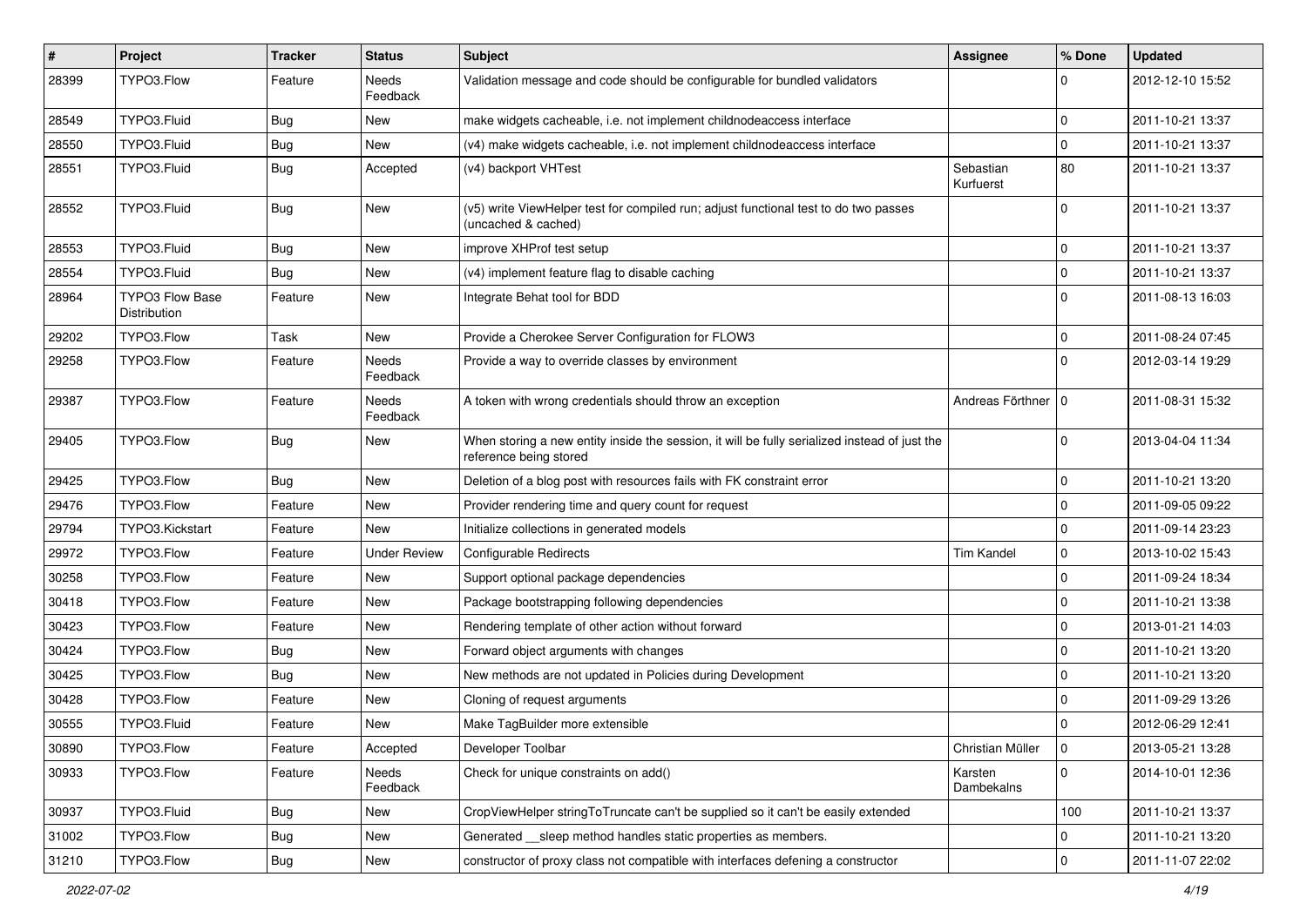| $\vert$ # | <b>Project</b>                         | <b>Tracker</b> | <b>Status</b>            | <b>Subject</b>                                                                                                          | Assignee               | % Done           | <b>Updated</b>   |
|-----------|----------------------------------------|----------------|--------------------------|-------------------------------------------------------------------------------------------------------------------------|------------------------|------------------|------------------|
| 28399     | TYPO3.Flow                             | Feature        | Needs<br>Feedback        | Validation message and code should be configurable for bundled validators                                               |                        | 0                | 2012-12-10 15:52 |
| 28549     | TYPO3.Fluid                            | Bug            | New                      | make widgets cacheable, i.e. not implement childnodeaccess interface                                                    |                        | $\mathbf 0$      | 2011-10-21 13:37 |
| 28550     | TYPO3.Fluid                            | <b>Bug</b>     | New                      | (v4) make widgets cacheable, i.e. not implement childnodeaccess interface                                               |                        | $\mathbf 0$      | 2011-10-21 13:37 |
| 28551     | TYPO3.Fluid                            | <b>Bug</b>     | Accepted                 | (v4) backport VHTest                                                                                                    | Sebastian<br>Kurfuerst | 80               | 2011-10-21 13:37 |
| 28552     | TYPO3.Fluid                            | Bug            | New                      | (v5) write ViewHelper test for compiled run; adjust functional test to do two passes<br>(uncached & cached)             |                        | $\Omega$         | 2011-10-21 13:37 |
| 28553     | TYPO3.Fluid                            | <b>Bug</b>     | New                      | improve XHProf test setup                                                                                               |                        | 0                | 2011-10-21 13:37 |
| 28554     | TYPO3.Fluid                            | <b>Bug</b>     | <b>New</b>               | (v4) implement feature flag to disable caching                                                                          |                        | $\mathbf 0$      | 2011-10-21 13:37 |
| 28964     | <b>TYPO3 Flow Base</b><br>Distribution | Feature        | New                      | Integrate Behat tool for BDD                                                                                            |                        | $\Omega$         | 2011-08-13 16:03 |
| 29202     | TYPO3.Flow                             | Task           | New                      | Provide a Cherokee Server Configuration for FLOW3                                                                       |                        | $\mathbf 0$      | 2011-08-24 07:45 |
| 29258     | TYPO3.Flow                             | Feature        | Needs<br>Feedback        | Provide a way to override classes by environment                                                                        |                        | 0                | 2012-03-14 19:29 |
| 29387     | TYPO3.Flow                             | Feature        | <b>Needs</b><br>Feedback | A token with wrong credentials should throw an exception                                                                | Andreas Förthner 10    |                  | 2011-08-31 15:32 |
| 29405     | TYPO3.Flow                             | <b>Bug</b>     | New                      | When storing a new entity inside the session, it will be fully serialized instead of just the<br>reference being stored |                        | $\Omega$         | 2013-04-04 11:34 |
| 29425     | TYPO3.Flow                             | Bug            | New                      | Deletion of a blog post with resources fails with FK constraint error                                                   |                        | $\mathbf 0$      | 2011-10-21 13:20 |
| 29476     | TYPO3.Flow                             | Feature        | New                      | Provider rendering time and query count for request                                                                     |                        | $\mathbf 0$      | 2011-09-05 09:22 |
| 29794     | TYPO3.Kickstart                        | Feature        | New                      | Initialize collections in generated models                                                                              |                        | 0                | 2011-09-14 23:23 |
| 29972     | TYPO3.Flow                             | Feature        | <b>Under Review</b>      | <b>Configurable Redirects</b>                                                                                           | <b>Tim Kandel</b>      | $\mathbf 0$      | 2013-10-02 15:43 |
| 30258     | TYPO3.Flow                             | Feature        | <b>New</b>               | Support optional package dependencies                                                                                   |                        | $\mathbf 0$      | 2011-09-24 18:34 |
| 30418     | TYPO3.Flow                             | Feature        | New                      | Package bootstrapping following dependencies                                                                            |                        | $\mathbf 0$      | 2011-10-21 13:38 |
| 30423     | TYPO3.Flow                             | Feature        | New                      | Rendering template of other action without forward                                                                      |                        | $\mathbf 0$      | 2013-01-21 14:03 |
| 30424     | TYPO3.Flow                             | Bug            | New                      | Forward object arguments with changes                                                                                   |                        | $\mathbf 0$      | 2011-10-21 13:20 |
| 30425     | TYPO3.Flow                             | Bug            | New                      | New methods are not updated in Policies during Development                                                              |                        | 0                | 2011-10-21 13:20 |
| 30428     | TYPO3.Flow                             | Feature        | New                      | Cloning of request arguments                                                                                            |                        | 0                | 2011-09-29 13:26 |
| 30555     | TYPO3.Fluid                            | Feature        | New                      | Make TagBuilder more extensible                                                                                         |                        | $\mathbf 0$      | 2012-06-29 12:41 |
| 30890     | TYPO3.Flow                             | Feature        | Accepted                 | Developer Toolbar                                                                                                       | Christian Müller       | $\mathbf{1}_{0}$ | 2013-05-21 13:28 |
| 30933     | TYPO3.Flow                             | Feature        | Needs<br>Feedback        | Check for unique constraints on add()                                                                                   | Karsten<br>Dambekalns  | $\mathbf{0}$     | 2014-10-01 12:36 |
| 30937     | TYPO3.Fluid                            | <b>Bug</b>     | New                      | CropViewHelper stringToTruncate can't be supplied so it can't be easily extended                                        |                        | 100              | 2011-10-21 13:37 |
| 31002     | TYPO3.Flow                             | <b>Bug</b>     | New                      | Generated __ sleep method handles static properties as members.                                                         |                        | 0                | 2011-10-21 13:20 |
| 31210     | TYPO3.Flow                             | Bug            | New                      | constructor of proxy class not compatible with interfaces defening a constructor                                        |                        | $\mathbf 0$      | 2011-11-07 22:02 |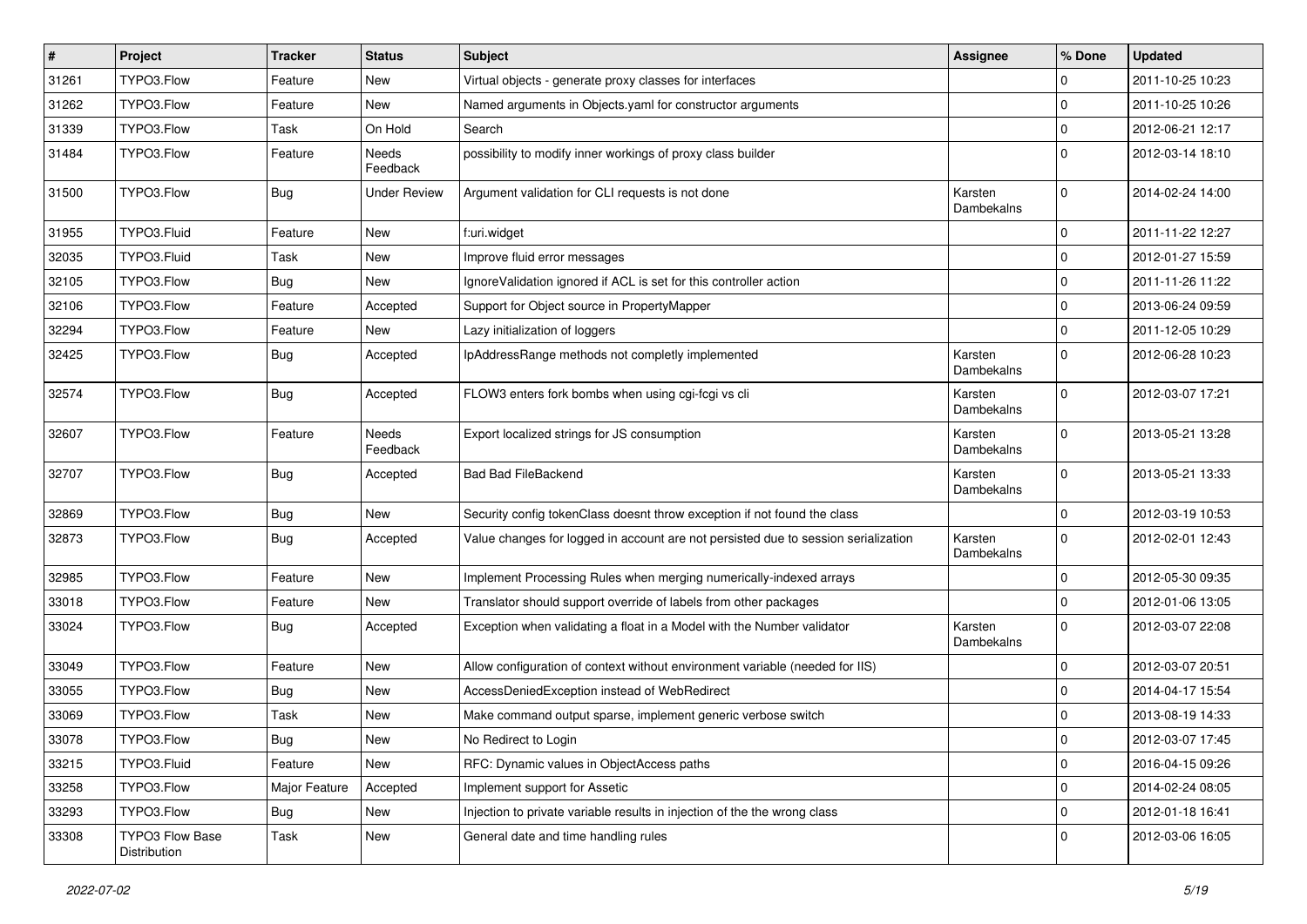| #     | Project                         | <b>Tracker</b> | <b>Status</b>     | Subject                                                                            | Assignee              | % Done       | <b>Updated</b>   |
|-------|---------------------------------|----------------|-------------------|------------------------------------------------------------------------------------|-----------------------|--------------|------------------|
| 31261 | TYPO3.Flow                      | Feature        | New               | Virtual objects - generate proxy classes for interfaces                            |                       | $\Omega$     | 2011-10-25 10:23 |
| 31262 | TYPO3.Flow                      | Feature        | New               | Named arguments in Objects.yaml for constructor arguments                          |                       | 0            | 2011-10-25 10:26 |
| 31339 | TYPO3.Flow                      | Task           | On Hold           | Search                                                                             |                       | $\mathbf 0$  | 2012-06-21 12:17 |
| 31484 | TYPO3.Flow                      | Feature        | Needs<br>Feedback | possibility to modify inner workings of proxy class builder                        |                       | $\Omega$     | 2012-03-14 18:10 |
| 31500 | TYPO3.Flow                      | Bug            | Under Review      | Argument validation for CLI requests is not done                                   | Karsten<br>Dambekalns | $\mathbf 0$  | 2014-02-24 14:00 |
| 31955 | TYPO3.Fluid                     | Feature        | New               | f:uri.widget                                                                       |                       | 0            | 2011-11-22 12:27 |
| 32035 | TYPO3.Fluid                     | Task           | New               | Improve fluid error messages                                                       |                       | $\Omega$     | 2012-01-27 15:59 |
| 32105 | TYPO3.Flow                      | <b>Bug</b>     | New               | IgnoreValidation ignored if ACL is set for this controller action                  |                       | 0            | 2011-11-26 11:22 |
| 32106 | TYPO3.Flow                      | Feature        | Accepted          | Support for Object source in PropertyMapper                                        |                       | $\mathbf 0$  | 2013-06-24 09:59 |
| 32294 | TYPO3.Flow                      | Feature        | New               | Lazy initialization of loggers                                                     |                       | $\mathbf{0}$ | 2011-12-05 10:29 |
| 32425 | TYPO3.Flow                      | Bug            | Accepted          | IpAddressRange methods not completly implemented                                   | Karsten<br>Dambekalns | $\Omega$     | 2012-06-28 10:23 |
| 32574 | TYPO3.Flow                      | <b>Bug</b>     | Accepted          | FLOW3 enters fork bombs when using cgi-fcgi vs cli                                 | Karsten<br>Dambekalns | $\Omega$     | 2012-03-07 17:21 |
| 32607 | TYPO3.Flow                      | Feature        | Needs<br>Feedback | Export localized strings for JS consumption                                        | Karsten<br>Dambekalns | $\Omega$     | 2013-05-21 13:28 |
| 32707 | TYPO3.Flow                      | Bug            | Accepted          | <b>Bad Bad FileBackend</b>                                                         | Karsten<br>Dambekalns | $\Omega$     | 2013-05-21 13:33 |
| 32869 | TYPO3.Flow                      | Bug            | New               | Security config tokenClass doesnt throw exception if not found the class           |                       | $\mathbf 0$  | 2012-03-19 10:53 |
| 32873 | TYPO3.Flow                      | <b>Bug</b>     | Accepted          | Value changes for logged in account are not persisted due to session serialization | Karsten<br>Dambekalns | $\Omega$     | 2012-02-01 12:43 |
| 32985 | TYPO3.Flow                      | Feature        | New               | Implement Processing Rules when merging numerically-indexed arrays                 |                       | $\Omega$     | 2012-05-30 09:35 |
| 33018 | TYPO3.Flow                      | Feature        | New               | Translator should support override of labels from other packages                   |                       | $\Omega$     | 2012-01-06 13:05 |
| 33024 | TYPO3.Flow                      | <b>Bug</b>     | Accepted          | Exception when validating a float in a Model with the Number validator             | Karsten<br>Dambekalns | $\Omega$     | 2012-03-07 22:08 |
| 33049 | TYPO3.Flow                      | Feature        | New               | Allow configuration of context without environment variable (needed for IIS)       |                       | 0            | 2012-03-07 20:51 |
| 33055 | TYPO3.Flow                      | Bug            | New               | AccessDeniedException instead of WebRedirect                                       |                       | 0            | 2014-04-17 15:54 |
| 33069 | TYPO3.Flow                      | Task           | New               | Make command output sparse, implement generic verbose switch                       |                       | $\mathbf 0$  | 2013-08-19 14:33 |
| 33078 | TYPO3.Flow                      | <b>Bug</b>     | New               | No Redirect to Login                                                               |                       | 0            | 2012-03-07 17:45 |
| 33215 | TYPO3.Fluid                     | Feature        | New               | RFC: Dynamic values in ObjectAccess paths                                          |                       | $\mathbf 0$  | 2016-04-15 09:26 |
| 33258 | TYPO3.Flow                      | Major Feature  | Accepted          | Implement support for Assetic                                                      |                       | $\mathbf 0$  | 2014-02-24 08:05 |
| 33293 | TYPO3.Flow                      | <b>Bug</b>     | New               | Injection to private variable results in injection of the the wrong class          |                       | $\mathbf 0$  | 2012-01-18 16:41 |
| 33308 | TYPO3 Flow Base<br>Distribution | Task           | New               | General date and time handling rules                                               |                       | 0            | 2012-03-06 16:05 |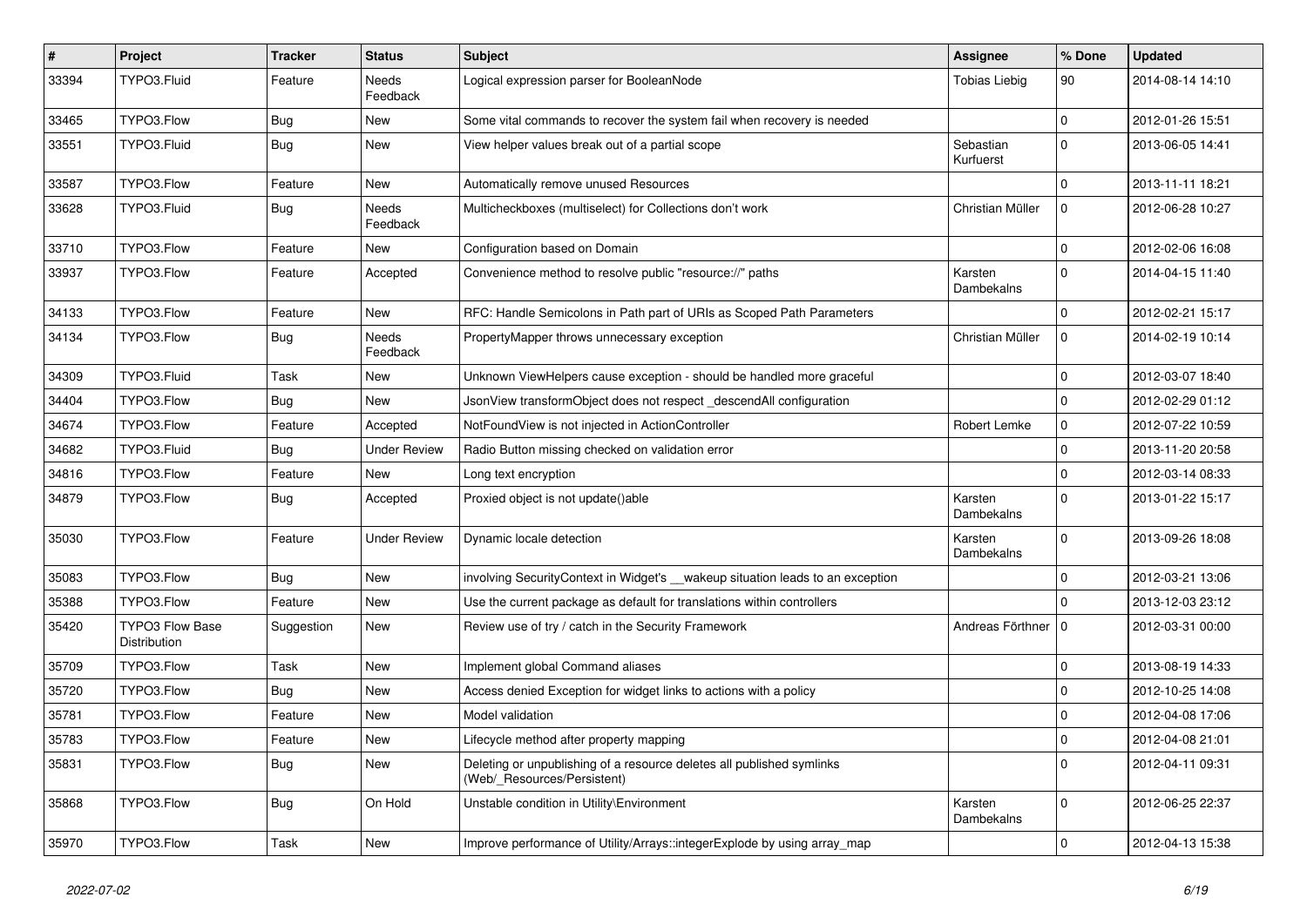| $\sharp$ | Project                                | <b>Tracker</b> | <b>Status</b>     | Subject                                                                                              | Assignee               | % Done              | <b>Updated</b>   |
|----------|----------------------------------------|----------------|-------------------|------------------------------------------------------------------------------------------------------|------------------------|---------------------|------------------|
| 33394    | TYPO3.Fluid                            | Feature        | Needs<br>Feedback | Logical expression parser for BooleanNode                                                            | <b>Tobias Liebig</b>   | 90                  | 2014-08-14 14:10 |
| 33465    | TYPO3.Flow                             | <b>Bug</b>     | New               | Some vital commands to recover the system fail when recovery is needed                               |                        | $\mathbf 0$         | 2012-01-26 15:51 |
| 33551    | TYPO3.Fluid                            | <b>Bug</b>     | New               | View helper values break out of a partial scope                                                      | Sebastian<br>Kurfuerst | $\Omega$            | 2013-06-05 14:41 |
| 33587    | TYPO3.Flow                             | Feature        | New               | Automatically remove unused Resources                                                                |                        | $\Omega$            | 2013-11-11 18:21 |
| 33628    | TYPO3.Fluid                            | <b>Bug</b>     | Needs<br>Feedback | Multicheckboxes (multiselect) for Collections don't work                                             | Christian Müller       | $\Omega$            | 2012-06-28 10:27 |
| 33710    | TYPO3.Flow                             | Feature        | New               | Configuration based on Domain                                                                        |                        | $\Omega$            | 2012-02-06 16:08 |
| 33937    | TYPO3.Flow                             | Feature        | Accepted          | Convenience method to resolve public "resource://" paths                                             | Karsten<br>Dambekalns  | $\Omega$            | 2014-04-15 11:40 |
| 34133    | TYPO3.Flow                             | Feature        | New               | RFC: Handle Semicolons in Path part of URIs as Scoped Path Parameters                                |                        | 0                   | 2012-02-21 15:17 |
| 34134    | TYPO3.Flow                             | <b>Bug</b>     | Needs<br>Feedback | PropertyMapper throws unnecessary exception                                                          | Christian Müller       | $\mathbf 0$         | 2014-02-19 10:14 |
| 34309    | TYPO3.Fluid                            | Task           | New               | Unknown ViewHelpers cause exception - should be handled more graceful                                |                        | $\Omega$            | 2012-03-07 18:40 |
| 34404    | TYPO3.Flow                             | Bug            | New               | JsonView transformObject does not respect _descendAll configuration                                  |                        | $\Omega$            | 2012-02-29 01:12 |
| 34674    | TYPO3.Flow                             | Feature        | Accepted          | NotFoundView is not injected in ActionController                                                     | Robert Lemke           | $\mathbf 0$         | 2012-07-22 10:59 |
| 34682    | TYPO3.Fluid                            | <b>Bug</b>     | Under Review      | Radio Button missing checked on validation error                                                     |                        | $\Omega$            | 2013-11-20 20:58 |
| 34816    | TYPO3.Flow                             | Feature        | New               | Long text encryption                                                                                 |                        | $\Omega$            | 2012-03-14 08:33 |
| 34879    | TYPO3.Flow                             | <b>Bug</b>     | Accepted          | Proxied object is not update()able                                                                   | Karsten<br>Dambekalns  | $\Omega$            | 2013-01-22 15:17 |
| 35030    | TYPO3.Flow                             | Feature        | Under Review      | Dynamic locale detection                                                                             | Karsten<br>Dambekalns  | $\Omega$            | 2013-09-26 18:08 |
| 35083    | TYPO3.Flow                             | Bug            | New               | involving SecurityContext in Widget's __wakeup situation leads to an exception                       |                        | $\Omega$            | 2012-03-21 13:06 |
| 35388    | TYPO3.Flow                             | Feature        | New               | Use the current package as default for translations within controllers                               |                        | $\Omega$            | 2013-12-03 23:12 |
| 35420    | <b>TYPO3 Flow Base</b><br>Distribution | Suggestion     | New               | Review use of try / catch in the Security Framework                                                  | Andreas Förthner   0   |                     | 2012-03-31 00:00 |
| 35709    | TYPO3.Flow                             | Task           | New               | Implement global Command aliases                                                                     |                        | 0                   | 2013-08-19 14:33 |
| 35720    | TYPO3.Flow                             | Bug            | New               | Access denied Exception for widget links to actions with a policy                                    |                        | 0                   | 2012-10-25 14:08 |
| 35781    | TYPO3.Flow                             | Feature        | New               | Model validation                                                                                     |                        | $\mathbf 0$         | 2012-04-08 17:06 |
| 35783    | TYPO3.Flow                             | Feature        | New               | Lifecycle method after property mapping                                                              |                        | 0                   | 2012-04-08 21:01 |
| 35831    | TYPO3.Flow                             | Bug            | New               | Deleting or unpublishing of a resource deletes all published symlinks<br>(Web/_Resources/Persistent) |                        | $\mathbf{0}$        | 2012-04-11 09:31 |
| 35868    | TYPO3.Flow                             | <b>Bug</b>     | On Hold           | Unstable condition in Utility\Environment                                                            | Karsten<br>Dambekalns  | $\mathbf 0$         | 2012-06-25 22:37 |
| 35970    | TYPO3.Flow                             | Task           | New               | Improve performance of Utility/Arrays::integerExplode by using array_map                             |                        | $\mathsf{O}\xspace$ | 2012-04-13 15:38 |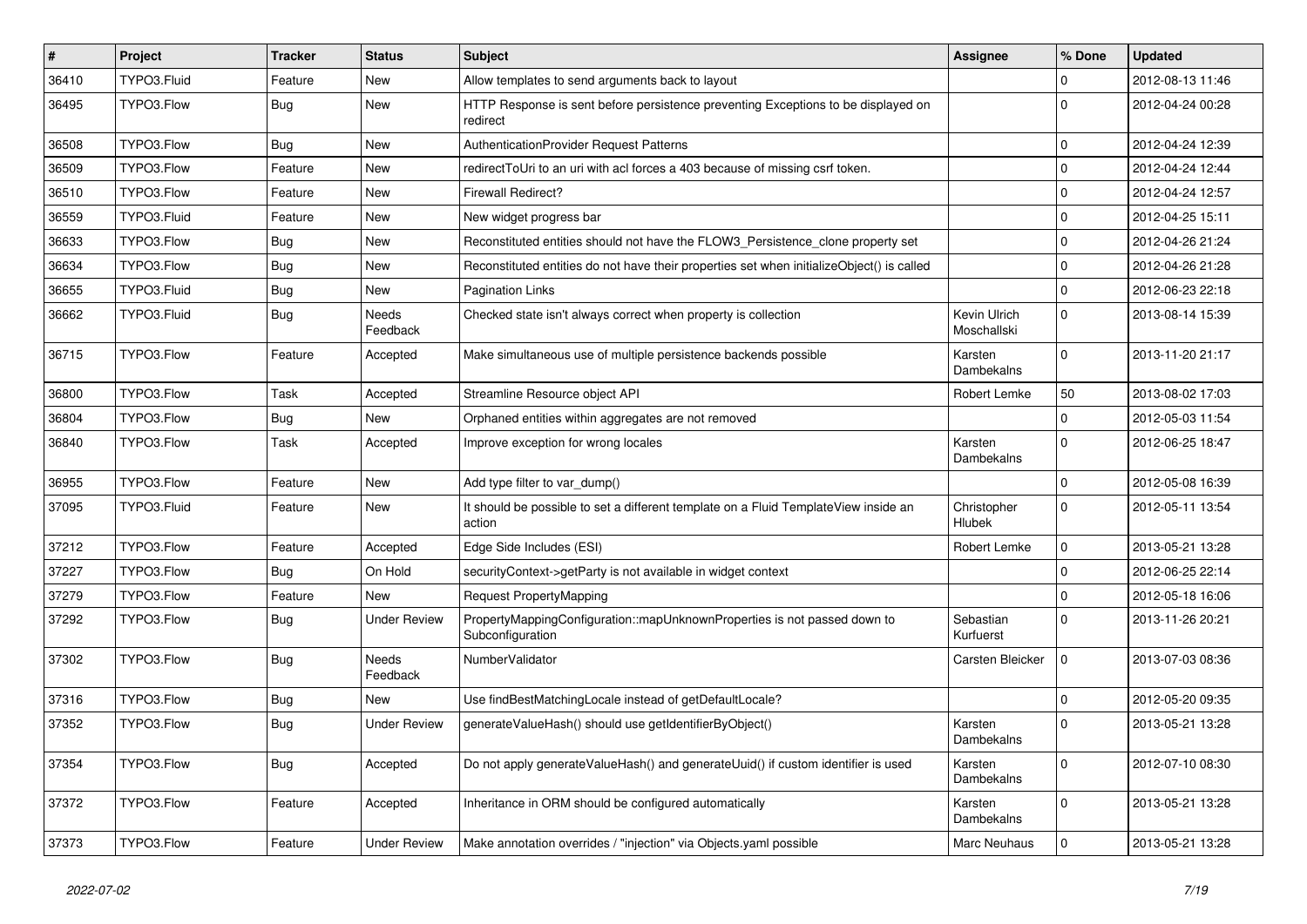| #     | Project     | <b>Tracker</b> | <b>Status</b>       | Subject                                                                                       | <b>Assignee</b>              | % Done       | <b>Updated</b>   |
|-------|-------------|----------------|---------------------|-----------------------------------------------------------------------------------------------|------------------------------|--------------|------------------|
| 36410 | TYPO3.Fluid | Feature        | New                 | Allow templates to send arguments back to layout                                              |                              | 0            | 2012-08-13 11:46 |
| 36495 | TYPO3.Flow  | <b>Bug</b>     | New                 | HTTP Response is sent before persistence preventing Exceptions to be displayed on<br>redirect |                              | 0            | 2012-04-24 00:28 |
| 36508 | TYPO3.Flow  | <b>Bug</b>     | New                 | AuthenticationProvider Request Patterns                                                       |                              | 0            | 2012-04-24 12:39 |
| 36509 | TYPO3.Flow  | Feature        | New                 | redirectToUri to an uri with acl forces a 403 because of missing csrf token.                  |                              | $\mathbf 0$  | 2012-04-24 12:44 |
| 36510 | TYPO3.Flow  | Feature        | New                 | <b>Firewall Redirect?</b>                                                                     |                              | 0            | 2012-04-24 12:57 |
| 36559 | TYPO3.Fluid | Feature        | New                 | New widget progress bar                                                                       |                              | $\mathbf 0$  | 2012-04-25 15:11 |
| 36633 | TYPO3.Flow  | <b>Bug</b>     | New                 | Reconstituted entities should not have the FLOW3 Persistence clone property set               |                              | 0            | 2012-04-26 21:24 |
| 36634 | TYPO3.Flow  | <b>Bug</b>     | New                 | Reconstituted entities do not have their properties set when initializeObject() is called     |                              | 0            | 2012-04-26 21:28 |
| 36655 | TYPO3.Fluid | <b>Bug</b>     | New                 | <b>Pagination Links</b>                                                                       |                              | $\mathbf 0$  | 2012-06-23 22:18 |
| 36662 | TYPO3.Fluid | <b>Bug</b>     | Needs<br>Feedback   | Checked state isn't always correct when property is collection                                | Kevin Ulrich<br>Moschallski  | $\mathbf 0$  | 2013-08-14 15:39 |
| 36715 | TYPO3.Flow  | Feature        | Accepted            | Make simultaneous use of multiple persistence backends possible                               | Karsten<br>Dambekalns        | $\Omega$     | 2013-11-20 21:17 |
| 36800 | TYPO3.Flow  | Task           | Accepted            | Streamline Resource object API                                                                | Robert Lemke                 | 50           | 2013-08-02 17:03 |
| 36804 | TYPO3.Flow  | <b>Bug</b>     | New                 | Orphaned entities within aggregates are not removed                                           |                              | $\mathbf 0$  | 2012-05-03 11:54 |
| 36840 | TYPO3.Flow  | Task           | Accepted            | Improve exception for wrong locales                                                           | Karsten<br>Dambekalns        | $\mathbf 0$  | 2012-06-25 18:47 |
| 36955 | TYPO3.Flow  | Feature        | New                 | Add type filter to var_dump()                                                                 |                              | $\mathbf 0$  | 2012-05-08 16:39 |
| 37095 | TYPO3.Fluid | Feature        | New                 | It should be possible to set a different template on a Fluid TemplateView inside an<br>action | Christopher<br><b>Hlubek</b> | $\mathbf 0$  | 2012-05-11 13:54 |
| 37212 | TYPO3.Flow  | Feature        | Accepted            | Edge Side Includes (ESI)                                                                      | Robert Lemke                 | 0            | 2013-05-21 13:28 |
| 37227 | TYPO3.Flow  | <b>Bug</b>     | On Hold             | securityContext->getParty is not available in widget context                                  |                              | $\mathbf 0$  | 2012-06-25 22:14 |
| 37279 | TYPO3.Flow  | Feature        | New                 | Request PropertyMapping                                                                       |                              | $\mathbf 0$  | 2012-05-18 16:06 |
| 37292 | TYPO3.Flow  | <b>Bug</b>     | <b>Under Review</b> | PropertyMappingConfiguration::mapUnknownProperties is not passed down to<br>Subconfiguration  | Sebastian<br>Kurfuerst       | $\mathbf 0$  | 2013-11-26 20:21 |
| 37302 | TYPO3.Flow  | <b>Bug</b>     | Needs<br>Feedback   | NumberValidator                                                                               | Carsten Bleicker             | $\mathbf 0$  | 2013-07-03 08:36 |
| 37316 | TYPO3.Flow  | <b>Bug</b>     | New                 | Use findBestMatchingLocale instead of getDefaultLocale?                                       |                              | $\mathbf 0$  | 2012-05-20 09:35 |
| 37352 | TYPO3.Flow  | <b>Bug</b>     | <b>Under Review</b> | generateValueHash() should use getIdentifierByObject()                                        | Karsten<br>Dambekalns        | $\mathbf 0$  | 2013-05-21 13:28 |
| 37354 | TYPO3.Flow  | <b>Bug</b>     | Accepted            | Do not apply generateValueHash() and generateUuid() if custom identifier is used              | Karsten<br>Dambekalns        | $\mathbf 0$  | 2012-07-10 08:30 |
| 37372 | TYPO3.Flow  | Feature        | Accepted            | Inheritance in ORM should be configured automatically                                         | Karsten<br>Dambekalns        | $\mathbf{0}$ | 2013-05-21 13:28 |
| 37373 | TYPO3.Flow  | Feature        | <b>Under Review</b> | Make annotation overrides / "injection" via Objects yaml possible                             | Marc Neuhaus                 | $\mathbf{0}$ | 2013-05-21 13:28 |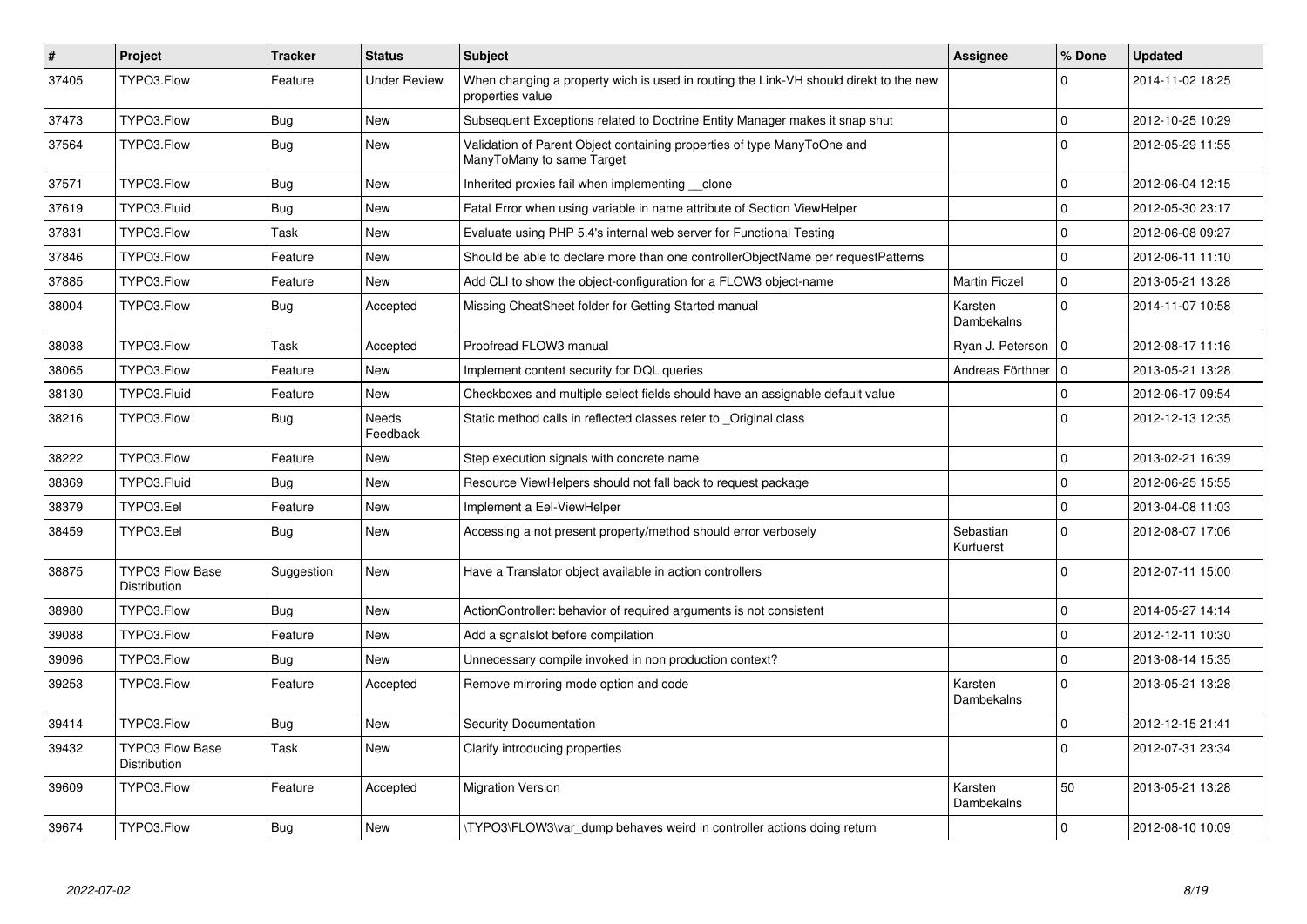| $\pmb{\#}$ | Project                                | <b>Tracker</b> | <b>Status</b>       | <b>Subject</b>                                                                                            | Assignee               | % Done       | <b>Updated</b>   |
|------------|----------------------------------------|----------------|---------------------|-----------------------------------------------------------------------------------------------------------|------------------------|--------------|------------------|
| 37405      | TYPO3.Flow                             | Feature        | <b>Under Review</b> | When changing a property wich is used in routing the Link-VH should direkt to the new<br>properties value |                        | $\Omega$     | 2014-11-02 18:25 |
| 37473      | TYPO3.Flow                             | <b>Bug</b>     | New                 | Subsequent Exceptions related to Doctrine Entity Manager makes it snap shut                               |                        | $\mathbf 0$  | 2012-10-25 10:29 |
| 37564      | TYPO3.Flow                             | <b>Bug</b>     | New                 | Validation of Parent Object containing properties of type ManyToOne and<br>ManyToMany to same Target      |                        | $\Omega$     | 2012-05-29 11:55 |
| 37571      | TYPO3.Flow                             | <b>Bug</b>     | New                 | Inherited proxies fail when implementing __clone                                                          |                        | $\mathbf 0$  | 2012-06-04 12:15 |
| 37619      | TYPO3.Fluid                            | <b>Bug</b>     | <b>New</b>          | Fatal Error when using variable in name attribute of Section ViewHelper                                   |                        | $\Omega$     | 2012-05-30 23:17 |
| 37831      | TYPO3.Flow                             | Task           | New                 | Evaluate using PHP 5.4's internal web server for Functional Testing                                       |                        | $\mathbf{0}$ | 2012-06-08 09:27 |
| 37846      | TYPO3.Flow                             | Feature        | New                 | Should be able to declare more than one controllerObjectName per requestPatterns                          |                        | $\Omega$     | 2012-06-11 11:10 |
| 37885      | TYPO3.Flow                             | Feature        | <b>New</b>          | Add CLI to show the object-configuration for a FLOW3 object-name                                          | <b>Martin Ficzel</b>   | $\mathbf{0}$ | 2013-05-21 13:28 |
| 38004      | TYPO3.Flow                             | Bug            | Accepted            | Missing CheatSheet folder for Getting Started manual                                                      | Karsten<br>Dambekalns  | $\Omega$     | 2014-11-07 10:58 |
| 38038      | TYPO3.Flow                             | Task           | Accepted            | Proofread FLOW3 manual                                                                                    | Ryan J. Peterson       | $\mathbf{0}$ | 2012-08-17 11:16 |
| 38065      | TYPO3.Flow                             | Feature        | New                 | Implement content security for DQL queries                                                                | Andreas Förthner       | l o          | 2013-05-21 13:28 |
| 38130      | TYPO3.Fluid                            | Feature        | New                 | Checkboxes and multiple select fields should have an assignable default value                             |                        | $\mathbf 0$  | 2012-06-17 09:54 |
| 38216      | TYPO3.Flow                             | <b>Bug</b>     | Needs<br>Feedback   | Static method calls in reflected classes refer to Original class                                          |                        | $\Omega$     | 2012-12-13 12:35 |
| 38222      | TYPO3.Flow                             | Feature        | New                 | Step execution signals with concrete name                                                                 |                        | $\mathbf{0}$ | 2013-02-21 16:39 |
| 38369      | TYPO3.Fluid                            | Bug            | New                 | Resource ViewHelpers should not fall back to request package                                              |                        | $\mathbf 0$  | 2012-06-25 15:55 |
| 38379      | TYPO3.Eel                              | Feature        | New                 | Implement a Eel-ViewHelper                                                                                |                        | $\mathbf 0$  | 2013-04-08 11:03 |
| 38459      | TYPO3.Eel                              | <b>Bug</b>     | New                 | Accessing a not present property/method should error verbosely                                            | Sebastian<br>Kurfuerst | $\Omega$     | 2012-08-07 17:06 |
| 38875      | <b>TYPO3 Flow Base</b><br>Distribution | Suggestion     | New                 | Have a Translator object available in action controllers                                                  |                        | $\Omega$     | 2012-07-11 15:00 |
| 38980      | TYPO3.Flow                             | Bug            | New                 | ActionController: behavior of required arguments is not consistent                                        |                        | $\mathbf 0$  | 2014-05-27 14:14 |
| 39088      | TYPO3.Flow                             | Feature        | New                 | Add a sqnalslot before compilation                                                                        |                        | $\Omega$     | 2012-12-11 10:30 |
| 39096      | TYPO3.Flow                             | <b>Bug</b>     | New                 | Unnecessary compile invoked in non production context?                                                    |                        | $\Omega$     | 2013-08-14 15:35 |
| 39253      | TYPO3.Flow                             | Feature        | Accepted            | Remove mirroring mode option and code                                                                     | Karsten<br>Dambekalns  | $\Omega$     | 2013-05-21 13:28 |
| 39414      | TYPO3.Flow                             | <b>Bug</b>     | New                 | Security Documentation                                                                                    |                        | $\mathbf{0}$ | 2012-12-15 21:41 |
| 39432      | <b>TYPO3 Flow Base</b><br>Distribution | Task           | <b>New</b>          | Clarify introducing properties                                                                            |                        | $\Omega$     | 2012-07-31 23:34 |
| 39609      | TYPO3.Flow                             | Feature        | Accepted            | <b>Migration Version</b>                                                                                  | Karsten<br>Dambekalns  | 50           | 2013-05-21 13:28 |
| 39674      | TYPO3.Flow                             | <b>Bug</b>     | New                 | TYPO3\FLOW3\var_dump behaves weird in controller actions doing return                                     |                        | $\mathsf 0$  | 2012-08-10 10:09 |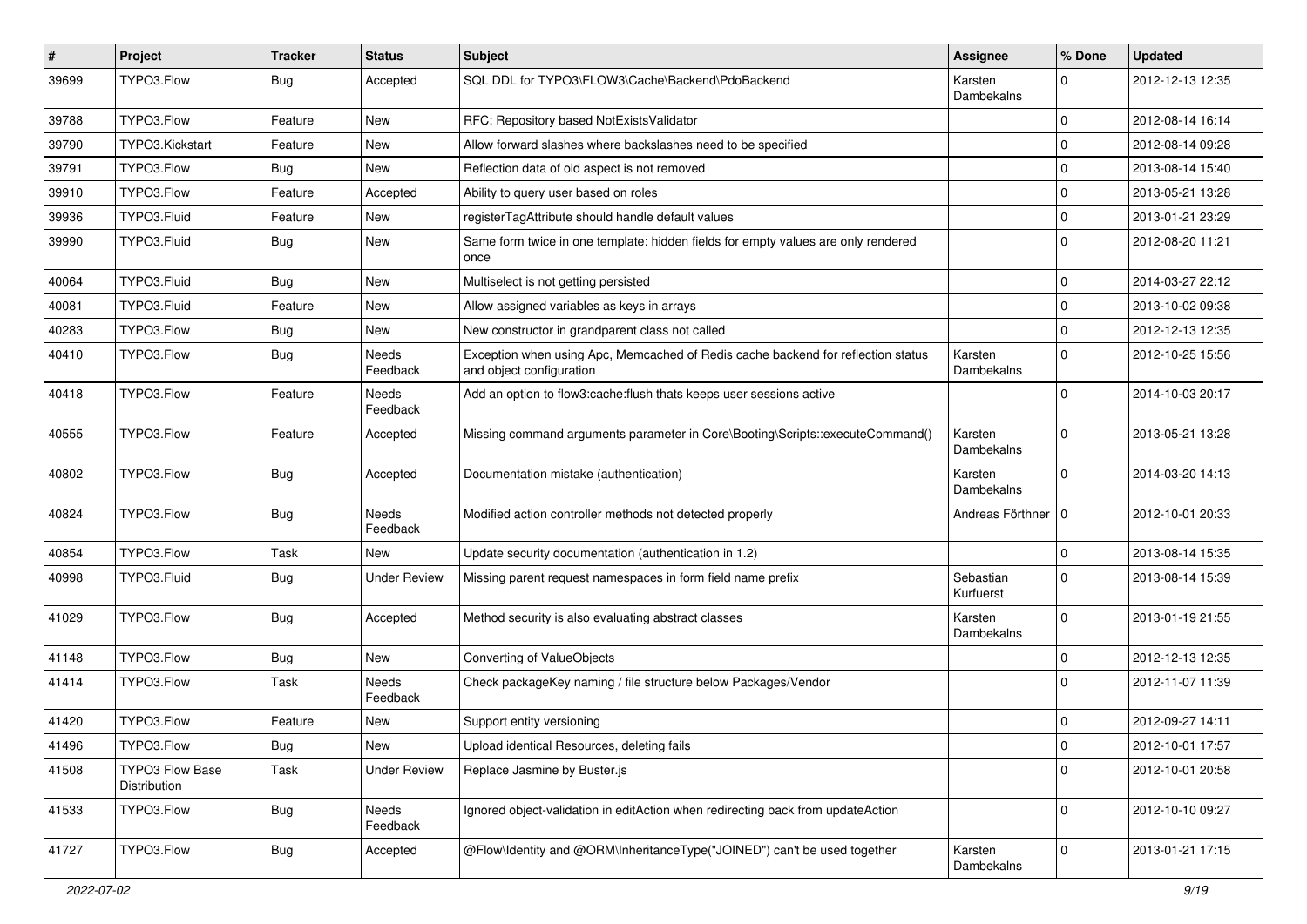| #     | Project                                | <b>Tracker</b> | <b>Status</b>            | Subject                                                                                                      | Assignee               | % Done      | <b>Updated</b>   |
|-------|----------------------------------------|----------------|--------------------------|--------------------------------------------------------------------------------------------------------------|------------------------|-------------|------------------|
| 39699 | TYPO3.Flow                             | Bug            | Accepted                 | SQL DDL for TYPO3\FLOW3\Cache\Backend\PdoBackend                                                             | Karsten<br>Dambekalns  | $\Omega$    | 2012-12-13 12:35 |
| 39788 | TYPO3.Flow                             | Feature        | New                      | RFC: Repository based NotExistsValidator                                                                     |                        | $\mathbf 0$ | 2012-08-14 16:14 |
| 39790 | TYPO3.Kickstart                        | Feature        | New                      | Allow forward slashes where backslashes need to be specified                                                 |                        | $\mathbf 0$ | 2012-08-14 09:28 |
| 39791 | TYPO3.Flow                             | <b>Bug</b>     | New                      | Reflection data of old aspect is not removed                                                                 |                        | $\mathbf 0$ | 2013-08-14 15:40 |
| 39910 | TYPO3.Flow                             | Feature        | Accepted                 | Ability to query user based on roles                                                                         |                        | $\mathbf 0$ | 2013-05-21 13:28 |
| 39936 | TYPO3.Fluid                            | Feature        | New                      | registerTagAttribute should handle default values                                                            |                        | $\mathbf 0$ | 2013-01-21 23:29 |
| 39990 | TYPO3.Fluid                            | Bug            | New                      | Same form twice in one template: hidden fields for empty values are only rendered<br>once                    |                        | $\Omega$    | 2012-08-20 11:21 |
| 40064 | TYPO3.Fluid                            | <b>Bug</b>     | New                      | Multiselect is not getting persisted                                                                         |                        | $\mathbf 0$ | 2014-03-27 22:12 |
| 40081 | TYPO3.Fluid                            | Feature        | New                      | Allow assigned variables as keys in arrays                                                                   |                        | $\mathbf 0$ | 2013-10-02 09:38 |
| 40283 | TYPO3.Flow                             | <b>Bug</b>     | New                      | New constructor in grandparent class not called                                                              |                        | $\mathbf 0$ | 2012-12-13 12:35 |
| 40410 | TYPO3.Flow                             | <b>Bug</b>     | <b>Needs</b><br>Feedback | Exception when using Apc, Memcached of Redis cache backend for reflection status<br>and object configuration | Karsten<br>Dambekalns  | $\Omega$    | 2012-10-25 15:56 |
| 40418 | TYPO3.Flow                             | Feature        | <b>Needs</b><br>Feedback | Add an option to flow3:cache:flush thats keeps user sessions active                                          |                        | $\Omega$    | 2014-10-03 20:17 |
| 40555 | TYPO3.Flow                             | Feature        | Accepted                 | Missing command arguments parameter in Core\Booting\Scripts::executeCommand()                                | Karsten<br>Dambekalns  | $\Omega$    | 2013-05-21 13:28 |
| 40802 | TYPO3.Flow                             | Bug            | Accepted                 | Documentation mistake (authentication)                                                                       | Karsten<br>Dambekalns  | $\Omega$    | 2014-03-20 14:13 |
| 40824 | TYPO3.Flow                             | <b>Bug</b>     | <b>Needs</b><br>Feedback | Modified action controller methods not detected properly                                                     | Andreas Förthner   0   |             | 2012-10-01 20:33 |
| 40854 | TYPO3.Flow                             | Task           | New                      | Update security documentation (authentication in 1.2)                                                        |                        | $\mathbf 0$ | 2013-08-14 15:35 |
| 40998 | TYPO3.Fluid                            | <b>Bug</b>     | <b>Under Review</b>      | Missing parent request namespaces in form field name prefix                                                  | Sebastian<br>Kurfuerst | $\Omega$    | 2013-08-14 15:39 |
| 41029 | TYPO3.Flow                             | <b>Bug</b>     | Accepted                 | Method security is also evaluating abstract classes                                                          | Karsten<br>Dambekalns  | $\Omega$    | 2013-01-19 21:55 |
| 41148 | TYPO3.Flow                             | <b>Bug</b>     | New                      | Converting of ValueObjects                                                                                   |                        | $\Omega$    | 2012-12-13 12:35 |
| 41414 | TYPO3.Flow                             | Task           | Needs<br>Feedback        | Check packageKey naming / file structure below Packages/Vendor                                               |                        | $\Omega$    | 2012-11-07 11:39 |
| 41420 | TYPO3.Flow                             | Feature        | New                      | Support entity versioning                                                                                    |                        | $\mathbf 0$ | 2012-09-27 14:11 |
| 41496 | TYPO3.Flow                             | Bug            | New                      | Upload identical Resources, deleting fails                                                                   |                        | $\mathbf 0$ | 2012-10-01 17:57 |
| 41508 | <b>TYPO3 Flow Base</b><br>Distribution | Task           | <b>Under Review</b>      | Replace Jasmine by Buster.js                                                                                 |                        | $\mathbf 0$ | 2012-10-01 20:58 |
| 41533 | TYPO3.Flow                             | <b>Bug</b>     | Needs<br>Feedback        | Ignored object-validation in editAction when redirecting back from updateAction                              |                        | $\mathbf 0$ | 2012-10-10 09:27 |
| 41727 | TYPO3.Flow                             | <b>Bug</b>     | Accepted                 | @Flow\Identity and @ORM\InheritanceType("JOINED") can't be used together                                     | Karsten<br>Dambekalns  | $\mathbf 0$ | 2013-01-21 17:15 |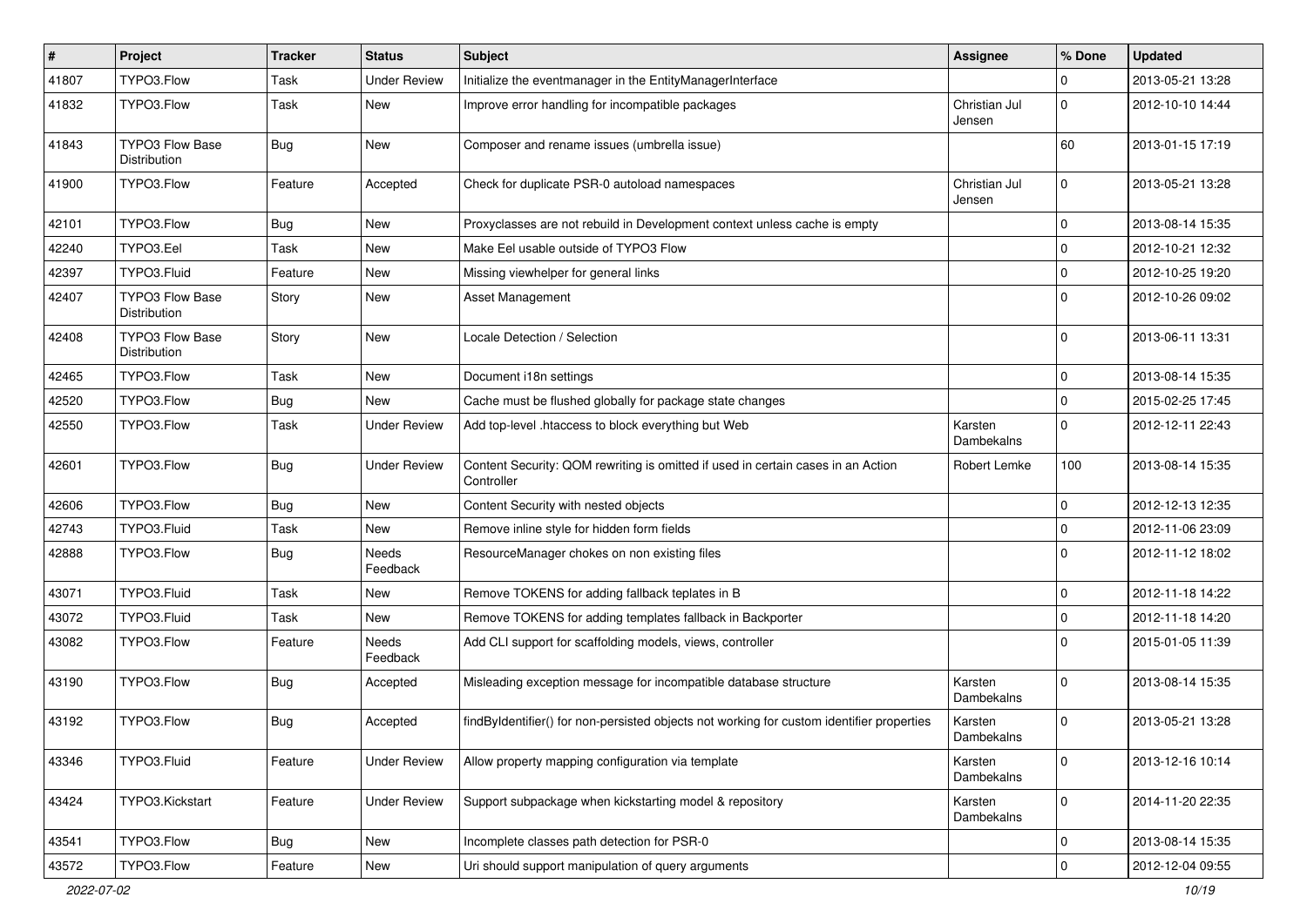| #     | Project                         | <b>Tracker</b> | <b>Status</b>            | Subject                                                                                        | <b>Assignee</b>         | % Done       | <b>Updated</b>   |
|-------|---------------------------------|----------------|--------------------------|------------------------------------------------------------------------------------------------|-------------------------|--------------|------------------|
| 41807 | TYPO3.Flow                      | Task           | Under Review             | Initialize the eventmanager in the EntityManagerInterface                                      |                         | 0            | 2013-05-21 13:28 |
| 41832 | TYPO3.Flow                      | Task           | New                      | Improve error handling for incompatible packages                                               | Christian Jul<br>Jensen | $\mathbf 0$  | 2012-10-10 14:44 |
| 41843 | TYPO3 Flow Base<br>Distribution | <b>Bug</b>     | New                      | Composer and rename issues (umbrella issue)                                                    |                         | 60           | 2013-01-15 17:19 |
| 41900 | TYPO3.Flow                      | Feature        | Accepted                 | Check for duplicate PSR-0 autoload namespaces                                                  | Christian Jul<br>Jensen | $\mathbf 0$  | 2013-05-21 13:28 |
| 42101 | TYPO3.Flow                      | Bug            | New                      | Proxyclasses are not rebuild in Development context unless cache is empty                      |                         | $\mathbf 0$  | 2013-08-14 15:35 |
| 42240 | TYPO3.Eel                       | Task           | New                      | Make Eel usable outside of TYPO3 Flow                                                          |                         | 0            | 2012-10-21 12:32 |
| 42397 | TYPO3.Fluid                     | Feature        | New                      | Missing viewhelper for general links                                                           |                         | $\mathbf 0$  | 2012-10-25 19:20 |
| 42407 | TYPO3 Flow Base<br>Distribution | Story          | New                      | Asset Management                                                                               |                         | $\mathbf 0$  | 2012-10-26 09:02 |
| 42408 | TYPO3 Flow Base<br>Distribution | Story          | New                      | Locale Detection / Selection                                                                   |                         | 0            | 2013-06-11 13:31 |
| 42465 | TYPO3.Flow                      | Task           | New                      | Document i18n settings                                                                         |                         | $\mathbf 0$  | 2013-08-14 15:35 |
| 42520 | TYPO3.Flow                      | Bug            | <b>New</b>               | Cache must be flushed globally for package state changes                                       |                         | $\mathbf 0$  | 2015-02-25 17:45 |
| 42550 | TYPO3.Flow                      | Task           | <b>Under Review</b>      | Add top-level .htaccess to block everything but Web                                            | Karsten<br>Dambekalns   | $\mathbf 0$  | 2012-12-11 22:43 |
| 42601 | TYPO3.Flow                      | <b>Bug</b>     | <b>Under Review</b>      | Content Security: QOM rewriting is omitted if used in certain cases in an Action<br>Controller | Robert Lemke            | 100          | 2013-08-14 15:35 |
| 42606 | TYPO3.Flow                      | <b>Bug</b>     | <b>New</b>               | Content Security with nested objects                                                           |                         | 0            | 2012-12-13 12:35 |
| 42743 | TYPO3.Fluid                     | Task           | New                      | Remove inline style for hidden form fields                                                     |                         | 0            | 2012-11-06 23:09 |
| 42888 | TYPO3.Flow                      | <b>Bug</b>     | Needs<br>Feedback        | ResourceManager chokes on non existing files                                                   |                         | $\Omega$     | 2012-11-12 18:02 |
| 43071 | TYPO3.Fluid                     | Task           | New                      | Remove TOKENS for adding fallback teplates in B                                                |                         | $\mathbf 0$  | 2012-11-18 14:22 |
| 43072 | TYPO3.Fluid                     | Task           | New                      | Remove TOKENS for adding templates fallback in Backporter                                      |                         | $\mathbf 0$  | 2012-11-18 14:20 |
| 43082 | TYPO3.Flow                      | Feature        | <b>Needs</b><br>Feedback | Add CLI support for scaffolding models, views, controller                                      |                         | $\Omega$     | 2015-01-05 11:39 |
| 43190 | TYPO3.Flow                      | <b>Bug</b>     | Accepted                 | Misleading exception message for incompatible database structure                               | Karsten<br>Dambekalns   | $\mathbf 0$  | 2013-08-14 15:35 |
| 43192 | TYPO3.Flow                      | <b>Bug</b>     | Accepted                 | findByIdentifier() for non-persisted objects not working for custom identifier properties      | Karsten<br>Dambekalns   | $\Omega$     | 2013-05-21 13:28 |
| 43346 | TYPO3.Fluid                     | Feature        | <b>Under Review</b>      | Allow property mapping configuration via template                                              | Karsten<br>Dambekalns   | $\mathbf{0}$ | 2013-12-16 10:14 |
| 43424 | TYPO3.Kickstart                 | Feature        | <b>Under Review</b>      | Support subpackage when kickstarting model & repository                                        | Karsten<br>Dambekalns   | $\mathsf 0$  | 2014-11-20 22:35 |
| 43541 | TYPO3.Flow                      | <b>Bug</b>     | New                      | Incomplete classes path detection for PSR-0                                                    |                         | $\mathbf 0$  | 2013-08-14 15:35 |
| 43572 | TYPO3.Flow                      | Feature        | New                      | Uri should support manipulation of query arguments                                             |                         | $\mathsf 0$  | 2012-12-04 09:55 |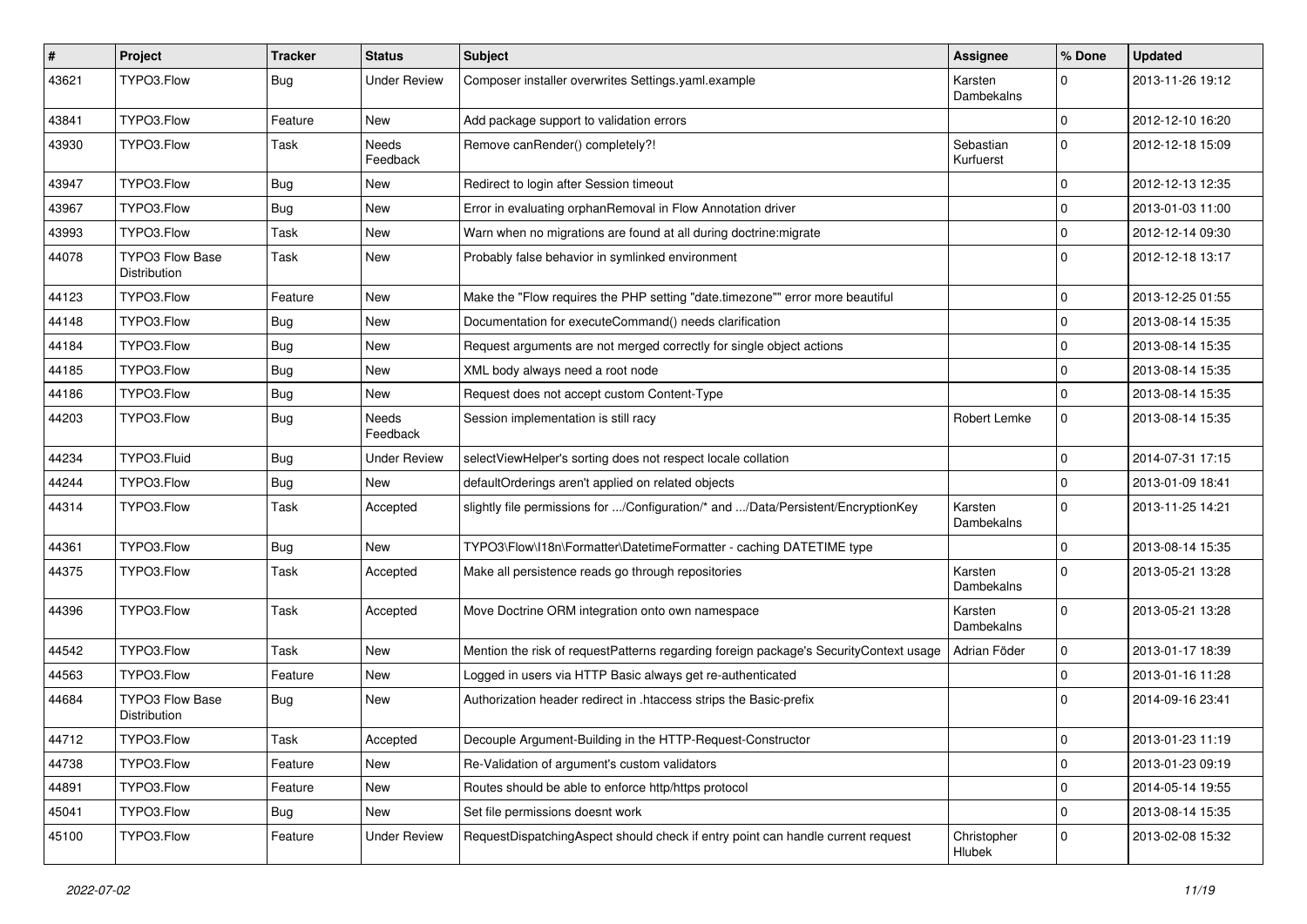| $\vert$ # | Project                                | <b>Tracker</b> | <b>Status</b>       | Subject                                                                               | <b>Assignee</b>        | % Done       | <b>Updated</b>   |
|-----------|----------------------------------------|----------------|---------------------|---------------------------------------------------------------------------------------|------------------------|--------------|------------------|
| 43621     | TYPO3.Flow                             | Bug            | <b>Under Review</b> | Composer installer overwrites Settings.yaml.example                                   | Karsten<br>Dambekalns  | $\Omega$     | 2013-11-26 19:12 |
| 43841     | TYPO3.Flow                             | Feature        | New                 | Add package support to validation errors                                              |                        | $\mathbf 0$  | 2012-12-10 16:20 |
| 43930     | TYPO3.Flow                             | Task           | Needs<br>Feedback   | Remove canRender() completely?!                                                       | Sebastian<br>Kurfuerst | $\Omega$     | 2012-12-18 15:09 |
| 43947     | TYPO3.Flow                             | <b>Bug</b>     | New                 | Redirect to login after Session timeout                                               |                        | $\mathbf 0$  | 2012-12-13 12:35 |
| 43967     | TYPO3.Flow                             | Bug            | New                 | Error in evaluating orphanRemoval in Flow Annotation driver                           |                        | $\Omega$     | 2013-01-03 11:00 |
| 43993     | TYPO3.Flow                             | Task           | New                 | Warn when no migrations are found at all during doctrine: migrate                     |                        | 0            | 2012-12-14 09:30 |
| 44078     | <b>TYPO3 Flow Base</b><br>Distribution | Task           | New                 | Probably false behavior in symlinked environment                                      |                        | $\Omega$     | 2012-12-18 13:17 |
| 44123     | TYPO3.Flow                             | Feature        | New                 | Make the "Flow requires the PHP setting "date.timezone"" error more beautiful         |                        | $\mathbf 0$  | 2013-12-25 01:55 |
| 44148     | TYPO3.Flow                             | <b>Bug</b>     | New                 | Documentation for executeCommand() needs clarification                                |                        | $\mathbf 0$  | 2013-08-14 15:35 |
| 44184     | TYPO3.Flow                             | <b>Bug</b>     | New                 | Request arguments are not merged correctly for single object actions                  |                        | $\mathbf 0$  | 2013-08-14 15:35 |
| 44185     | TYPO3.Flow                             | Bug            | New                 | XML body always need a root node                                                      |                        | $\mathbf 0$  | 2013-08-14 15:35 |
| 44186     | TYPO3.Flow                             | <b>Bug</b>     | New                 | Request does not accept custom Content-Type                                           |                        | $\Omega$     | 2013-08-14 15:35 |
| 44203     | TYPO3.Flow                             | <b>Bug</b>     | Needs<br>Feedback   | Session implementation is still racy                                                  | Robert Lemke           | 0            | 2013-08-14 15:35 |
| 44234     | TYPO3.Fluid                            | <b>Bug</b>     | <b>Under Review</b> | selectViewHelper's sorting does not respect locale collation                          |                        | $\mathbf 0$  | 2014-07-31 17:15 |
| 44244     | TYPO3.Flow                             | Bug            | New                 | defaultOrderings aren't applied on related objects                                    |                        | $\mathbf{0}$ | 2013-01-09 18:41 |
| 44314     | TYPO3.Flow                             | Task           | Accepted            | slightly file permissions for /Configuration/* and /Data/Persistent/EncryptionKey     | Karsten<br>Dambekalns  | 0            | 2013-11-25 14:21 |
| 44361     | TYPO3.Flow                             | Bug            | New                 | TYPO3\Flow\I18n\Formatter\DatetimeFormatter - caching DATETIME type                   |                        | $\mathbf 0$  | 2013-08-14 15:35 |
| 44375     | TYPO3.Flow                             | Task           | Accepted            | Make all persistence reads go through repositories                                    | Karsten<br>Dambekalns  | $\Omega$     | 2013-05-21 13:28 |
| 44396     | TYPO3.Flow                             | Task           | Accepted            | Move Doctrine ORM integration onto own namespace                                      | Karsten<br>Dambekalns  | $\Omega$     | 2013-05-21 13:28 |
| 44542     | TYPO3.Flow                             | Task           | New                 | Mention the risk of requestPatterns regarding foreign package's SecurityContext usage | Adrian Föder           | $\mathbf 0$  | 2013-01-17 18:39 |
| 44563     | TYPO3.Flow                             | Feature        | New                 | Logged in users via HTTP Basic always get re-authenticated                            |                        | $\mathbf 0$  | 2013-01-16 11:28 |
| 44684     | <b>TYPO3 Flow Base</b><br>Distribution | <b>Bug</b>     | New                 | Authorization header redirect in .htaccess strips the Basic-prefix                    |                        | $\Omega$     | 2014-09-16 23:41 |
| 44712     | TYPO3.Flow                             | Task           | Accepted            | Decouple Argument-Building in the HTTP-Request-Constructor                            |                        | 0            | 2013-01-23 11:19 |
| 44738     | TYPO3.Flow                             | Feature        | New                 | Re-Validation of argument's custom validators                                         |                        | $\mathbf 0$  | 2013-01-23 09:19 |
| 44891     | TYPO3.Flow                             | Feature        | New                 | Routes should be able to enforce http/https protocol                                  |                        | $\mathbf 0$  | 2014-05-14 19:55 |
| 45041     | TYPO3.Flow                             | Bug            | New                 | Set file permissions doesnt work                                                      |                        | $\mathbf 0$  | 2013-08-14 15:35 |
| 45100     | TYPO3.Flow                             | Feature        | <b>Under Review</b> | RequestDispatchingAspect should check if entry point can handle current request       | Christopher<br>Hlubek  | $\mathbf 0$  | 2013-02-08 15:32 |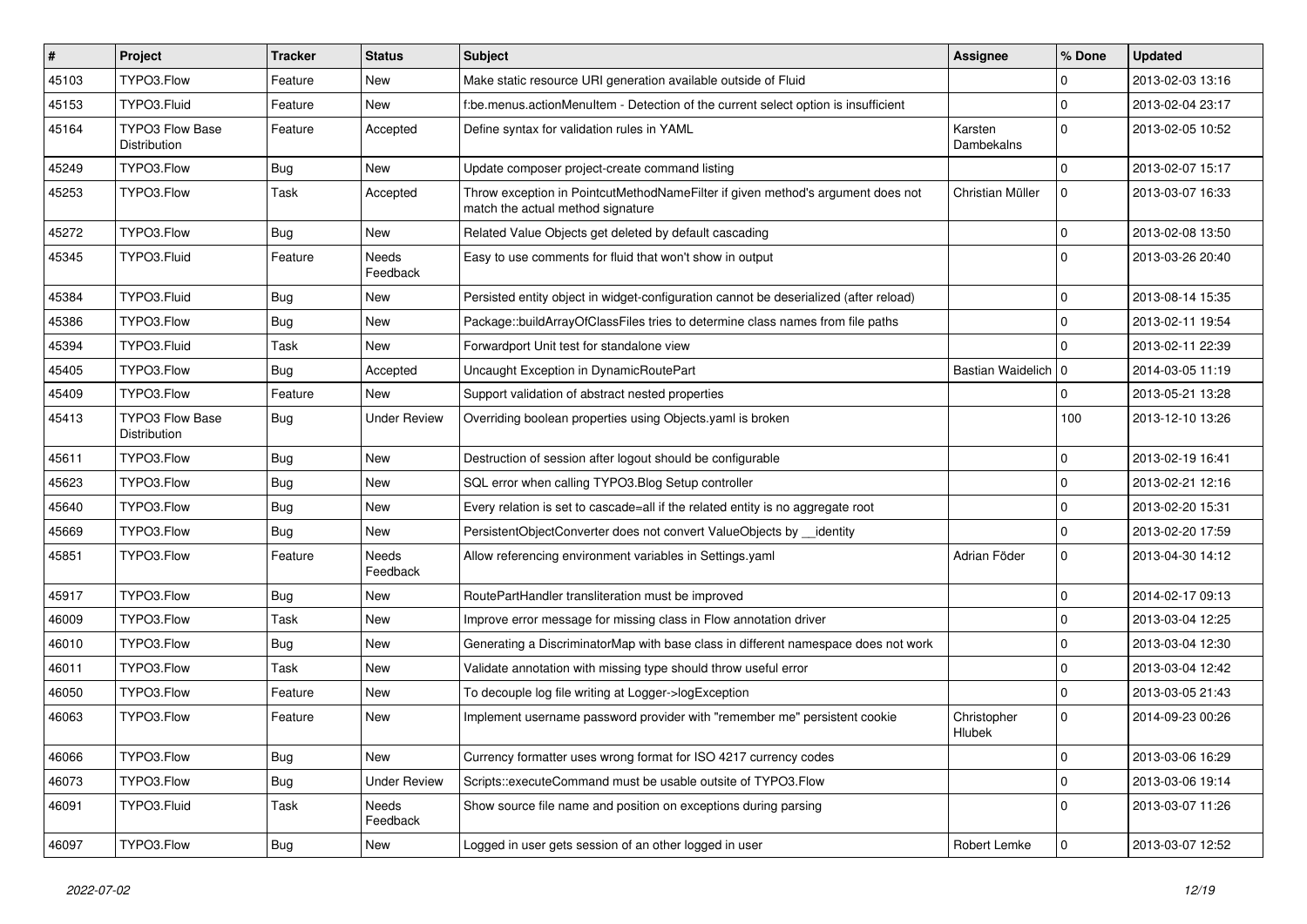| $\vert$ # | Project                                | <b>Tracker</b> | <b>Status</b>       | Subject                                                                                                              | <b>Assignee</b>       | % Done      | <b>Updated</b>   |
|-----------|----------------------------------------|----------------|---------------------|----------------------------------------------------------------------------------------------------------------------|-----------------------|-------------|------------------|
| 45103     | TYPO3.Flow                             | Feature        | New                 | Make static resource URI generation available outside of Fluid                                                       |                       | $\mathbf 0$ | 2013-02-03 13:16 |
| 45153     | TYPO3.Fluid                            | Feature        | New                 | f:be.menus.actionMenuItem - Detection of the current select option is insufficient                                   |                       | $\mathbf 0$ | 2013-02-04 23:17 |
| 45164     | <b>TYPO3 Flow Base</b><br>Distribution | Feature        | Accepted            | Define syntax for validation rules in YAML                                                                           | Karsten<br>Dambekalns | $\Omega$    | 2013-02-05 10:52 |
| 45249     | TYPO3.Flow                             | <b>Bug</b>     | <b>New</b>          | Update composer project-create command listing                                                                       |                       | $\mathbf 0$ | 2013-02-07 15:17 |
| 45253     | TYPO3.Flow                             | Task           | Accepted            | Throw exception in PointcutMethodNameFilter if given method's argument does not<br>match the actual method signature | Christian Müller      | $\mathbf 0$ | 2013-03-07 16:33 |
| 45272     | TYPO3.Flow                             | Bug            | New                 | Related Value Objects get deleted by default cascading                                                               |                       | $\mathbf 0$ | 2013-02-08 13:50 |
| 45345     | TYPO3.Fluid                            | Feature        | Needs<br>Feedback   | Easy to use comments for fluid that won't show in output                                                             |                       | $\Omega$    | 2013-03-26 20:40 |
| 45384     | TYPO3.Fluid                            | Bug            | New                 | Persisted entity object in widget-configuration cannot be deserialized (after reload)                                |                       | $\mathbf 0$ | 2013-08-14 15:35 |
| 45386     | TYPO3.Flow                             | <b>Bug</b>     | New                 | Package::buildArrayOfClassFiles tries to determine class names from file paths                                       |                       | $\mathbf 0$ | 2013-02-11 19:54 |
| 45394     | TYPO3.Fluid                            | Task           | <b>New</b>          | Forwardport Unit test for standalone view                                                                            |                       | $\Omega$    | 2013-02-11 22:39 |
| 45405     | TYPO3.Flow                             | Bug            | Accepted            | Uncaught Exception in DynamicRoutePart                                                                               | Bastian Waidelich   0 |             | 2014-03-05 11:19 |
| 45409     | TYPO3.Flow                             | Feature        | New                 | Support validation of abstract nested properties                                                                     |                       | $\mathbf 0$ | 2013-05-21 13:28 |
| 45413     | <b>TYPO3 Flow Base</b><br>Distribution | Bug            | <b>Under Review</b> | Overriding boolean properties using Objects yaml is broken                                                           |                       | 100         | 2013-12-10 13:26 |
| 45611     | TYPO3.Flow                             | <b>Bug</b>     | New                 | Destruction of session after logout should be configurable                                                           |                       | $\mathbf 0$ | 2013-02-19 16:41 |
| 45623     | TYPO3.Flow                             | Bug            | New                 | SQL error when calling TYPO3.Blog Setup controller                                                                   |                       | $\mathbf 0$ | 2013-02-21 12:16 |
| 45640     | TYPO3.Flow                             | <b>Bug</b>     | New                 | Every relation is set to cascade=all if the related entity is no aggregate root                                      |                       | $\mathbf 0$ | 2013-02-20 15:31 |
| 45669     | TYPO3.Flow                             | <b>Bug</b>     | <b>New</b>          | PersistentObjectConverter does not convert ValueObjects by __identity                                                |                       | $\mathbf 0$ | 2013-02-20 17:59 |
| 45851     | TYPO3.Flow                             | Feature        | Needs<br>Feedback   | Allow referencing environment variables in Settings.yaml                                                             | Adrian Föder          | $\mathbf 0$ | 2013-04-30 14:12 |
| 45917     | TYPO3.Flow                             | Bug            | New                 | RoutePartHandler transliteration must be improved                                                                    |                       | $\mathbf 0$ | 2014-02-17 09:13 |
| 46009     | TYPO3.Flow                             | Task           | New                 | Improve error message for missing class in Flow annotation driver                                                    |                       | $\mathbf 0$ | 2013-03-04 12:25 |
| 46010     | TYPO3.Flow                             | <b>Bug</b>     | New                 | Generating a DiscriminatorMap with base class in different namespace does not work                                   |                       | $\mathbf 0$ | 2013-03-04 12:30 |
| 46011     | TYPO3.Flow                             | Task           | New                 | Validate annotation with missing type should throw useful error                                                      |                       | $\mathbf 0$ | 2013-03-04 12:42 |
| 46050     | TYPO3.Flow                             | Feature        | New                 | To decouple log file writing at Logger->logException                                                                 |                       | $\mathbf 0$ | 2013-03-05 21:43 |
| 46063     | TYPO3.Flow                             | Feature        | New                 | Implement username password provider with "remember me" persistent cookie                                            | Christopher<br>Hlubek | $\Omega$    | 2014-09-23 00:26 |
| 46066     | TYPO3.Flow                             | <b>Bug</b>     | New                 | Currency formatter uses wrong format for ISO 4217 currency codes                                                     |                       | $\mathbf 0$ | 2013-03-06 16:29 |
| 46073     | TYPO3.Flow                             | <b>Bug</b>     | <b>Under Review</b> | Scripts::executeCommand must be usable outsite of TYPO3.Flow                                                         |                       | $\mathbf 0$ | 2013-03-06 19:14 |
| 46091     | TYPO3.Fluid                            | Task           | Needs<br>Feedback   | Show source file name and position on exceptions during parsing                                                      |                       | $\mathbf 0$ | 2013-03-07 11:26 |
| 46097     | TYPO3.Flow                             | <b>Bug</b>     | New                 | Logged in user gets session of an other logged in user                                                               | Robert Lemke          | $\mathbf 0$ | 2013-03-07 12:52 |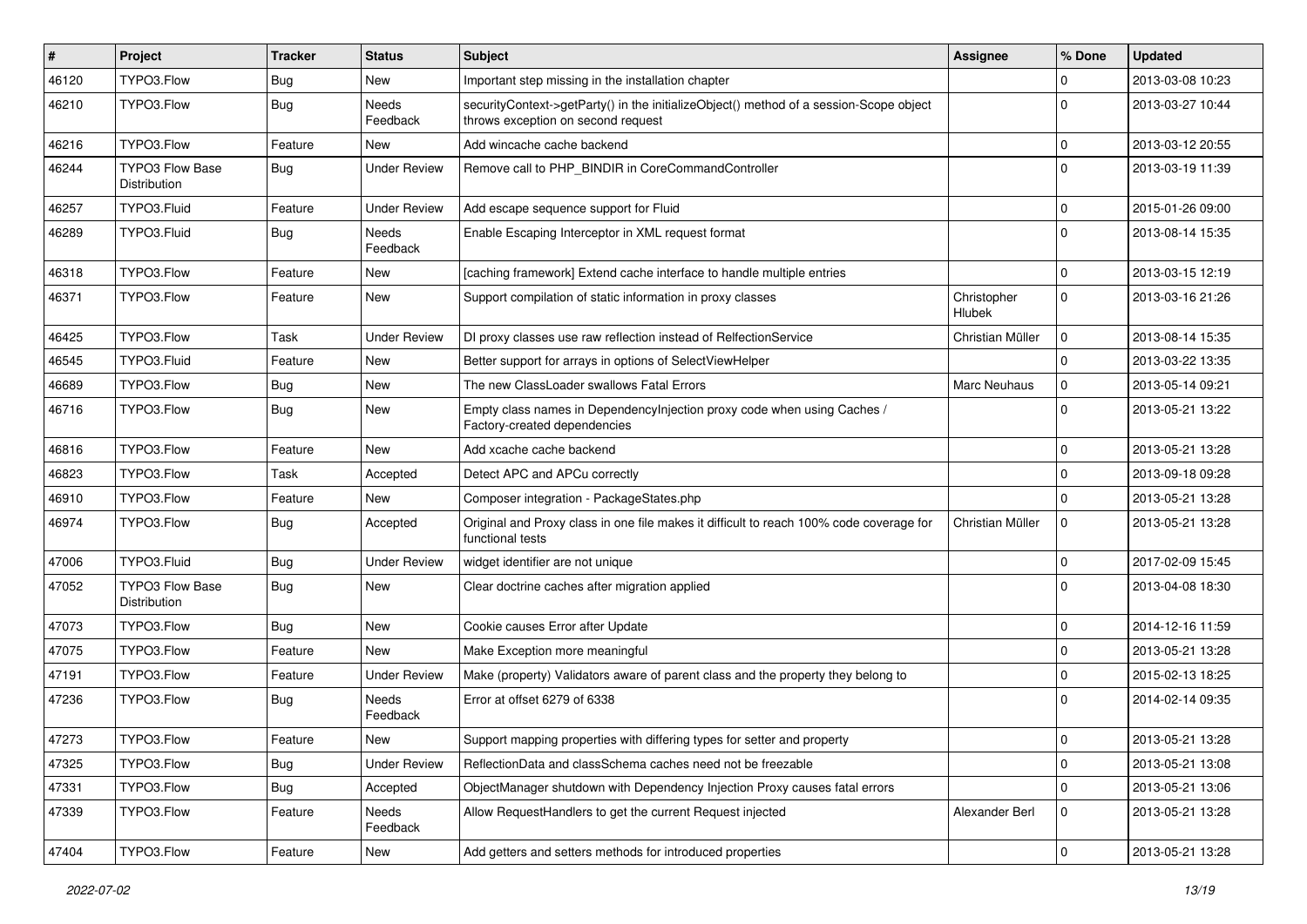| #     | Project                                | <b>Tracker</b> | <b>Status</b>       | <b>Subject</b>                                                                                                               | Assignee              | % Done              | <b>Updated</b>   |
|-------|----------------------------------------|----------------|---------------------|------------------------------------------------------------------------------------------------------------------------------|-----------------------|---------------------|------------------|
| 46120 | TYPO3.Flow                             | <b>Bug</b>     | New                 | Important step missing in the installation chapter                                                                           |                       | 0                   | 2013-03-08 10:23 |
| 46210 | TYPO3.Flow                             | Bug            | Needs<br>Feedback   | securityContext->getParty() in the initializeObject() method of a session-Scope object<br>throws exception on second request |                       | $\Omega$            | 2013-03-27 10:44 |
| 46216 | TYPO3.Flow                             | Feature        | New                 | Add wincache cache backend                                                                                                   |                       | 0                   | 2013-03-12 20:55 |
| 46244 | <b>TYPO3 Flow Base</b><br>Distribution | Bug            | <b>Under Review</b> | Remove call to PHP_BINDIR in CoreCommandController                                                                           |                       | $\Omega$            | 2013-03-19 11:39 |
| 46257 | TYPO3.Fluid                            | Feature        | <b>Under Review</b> | Add escape sequence support for Fluid                                                                                        |                       | $\mathbf 0$         | 2015-01-26 09:00 |
| 46289 | TYPO3.Fluid                            | Bug            | Needs<br>Feedback   | Enable Escaping Interceptor in XML request format                                                                            |                       | $\Omega$            | 2013-08-14 15:35 |
| 46318 | TYPO3.Flow                             | Feature        | New                 | [caching framework] Extend cache interface to handle multiple entries                                                        |                       | $\mathbf 0$         | 2013-03-15 12:19 |
| 46371 | TYPO3.Flow                             | Feature        | New                 | Support compilation of static information in proxy classes                                                                   | Christopher<br>Hlubek | $\Omega$            | 2013-03-16 21:26 |
| 46425 | TYPO3.Flow                             | Task           | <b>Under Review</b> | DI proxy classes use raw reflection instead of RelfectionService                                                             | Christian Müller      | $\mathbf 0$         | 2013-08-14 15:35 |
| 46545 | TYPO3.Fluid                            | Feature        | New                 | Better support for arrays in options of SelectViewHelper                                                                     |                       | $\Omega$            | 2013-03-22 13:35 |
| 46689 | TYPO3.Flow                             | <b>Bug</b>     | New                 | The new ClassLoader swallows Fatal Errors                                                                                    | Marc Neuhaus          | $\mathbf 0$         | 2013-05-14 09:21 |
| 46716 | TYPO3.Flow                             | Bug            | New                 | Empty class names in Dependencylniection proxy code when using Caches /<br>Factory-created dependencies                      |                       | $\Omega$            | 2013-05-21 13:22 |
| 46816 | TYPO3.Flow                             | Feature        | New                 | Add xcache cache backend                                                                                                     |                       | $\mathbf 0$         | 2013-05-21 13:28 |
| 46823 | TYPO3.Flow                             | Task           | Accepted            | Detect APC and APCu correctly                                                                                                |                       | $\mathbf 0$         | 2013-09-18 09:28 |
| 46910 | TYPO3.Flow                             | Feature        | New                 | Composer integration - PackageStates.php                                                                                     |                       | $\Omega$            | 2013-05-21 13:28 |
| 46974 | TYPO3.Flow                             | Bug            | Accepted            | Original and Proxy class in one file makes it difficult to reach 100% code coverage for<br>functional tests                  | Christian Müller      | $\Omega$            | 2013-05-21 13:28 |
| 47006 | TYPO3.Fluid                            | <b>Bug</b>     | <b>Under Review</b> | widget identifier are not unique                                                                                             |                       | $\mathbf 0$         | 2017-02-09 15:45 |
| 47052 | <b>TYPO3 Flow Base</b><br>Distribution | Bug            | New                 | Clear doctrine caches after migration applied                                                                                |                       | $\Omega$            | 2013-04-08 18:30 |
| 47073 | TYPO3.Flow                             | Bug            | New                 | Cookie causes Error after Update                                                                                             |                       | $\mathbf 0$         | 2014-12-16 11:59 |
| 47075 | TYPO3.Flow                             | Feature        | New                 | Make Exception more meaningful                                                                                               |                       | $\Omega$            | 2013-05-21 13:28 |
| 47191 | TYPO3.Flow                             | Feature        | <b>Under Review</b> | Make (property) Validators aware of parent class and the property they belong to                                             |                       | $\mathbf 0$         | 2015-02-13 18:25 |
| 47236 | TYPO3.Flow                             | Bug            | Needs<br>Feedback   | Error at offset 6279 of 6338                                                                                                 |                       | $\Omega$            | 2014-02-14 09:35 |
| 47273 | TYPO3.Flow                             | Feature        | New                 | Support mapping properties with differing types for setter and property                                                      |                       | 0                   | 2013-05-21 13:28 |
| 47325 | TYPO3.Flow                             | <b>Bug</b>     | <b>Under Review</b> | ReflectionData and classSchema caches need not be freezable                                                                  |                       | $\mathbf 0$         | 2013-05-21 13:08 |
| 47331 | TYPO3.Flow                             | <b>Bug</b>     | Accepted            | ObjectManager shutdown with Dependency Injection Proxy causes fatal errors                                                   |                       | $\mathbf 0$         | 2013-05-21 13:06 |
| 47339 | TYPO3.Flow                             | Feature        | Needs<br>Feedback   | Allow RequestHandlers to get the current Request injected                                                                    | Alexander Berl        | $\mathbf 0$         | 2013-05-21 13:28 |
| 47404 | TYPO3.Flow                             | Feature        | New                 | Add getters and setters methods for introduced properties                                                                    |                       | $\mathsf{O}\xspace$ | 2013-05-21 13:28 |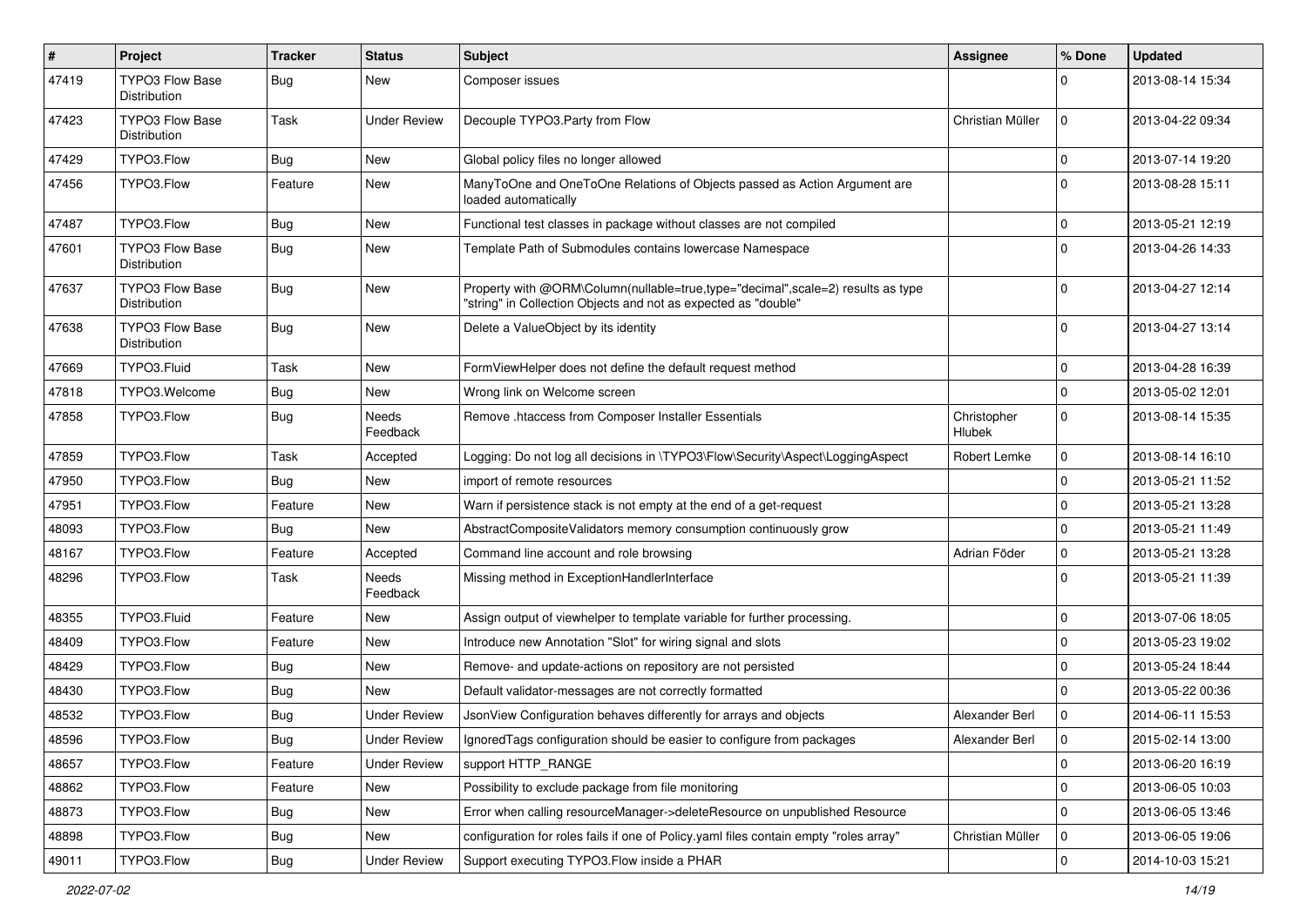| $\pmb{\#}$ | <b>Project</b>                         | <b>Tracker</b> | <b>Status</b>       | <b>Subject</b>                                                                                                                                    | Assignee              | % Done         | <b>Updated</b>   |
|------------|----------------------------------------|----------------|---------------------|---------------------------------------------------------------------------------------------------------------------------------------------------|-----------------------|----------------|------------------|
| 47419      | <b>TYPO3 Flow Base</b><br>Distribution | Bug            | New                 | Composer issues                                                                                                                                   |                       | $\Omega$       | 2013-08-14 15:34 |
| 47423      | <b>TYPO3 Flow Base</b><br>Distribution | Task           | <b>Under Review</b> | Decouple TYPO3. Party from Flow                                                                                                                   | Christian Müller      | $\Omega$       | 2013-04-22 09:34 |
| 47429      | TYPO3.Flow                             | Bug            | New                 | Global policy files no longer allowed                                                                                                             |                       | $\mathbf 0$    | 2013-07-14 19:20 |
| 47456      | TYPO3.Flow                             | Feature        | New                 | ManyToOne and OneToOne Relations of Objects passed as Action Argument are<br>loaded automatically                                                 |                       | $\Omega$       | 2013-08-28 15:11 |
| 47487      | TYPO3.Flow                             | Bug            | New                 | Functional test classes in package without classes are not compiled                                                                               |                       | $\mathbf 0$    | 2013-05-21 12:19 |
| 47601      | <b>TYPO3 Flow Base</b><br>Distribution | Bug            | New                 | Template Path of Submodules contains lowercase Namespace                                                                                          |                       | $\Omega$       | 2013-04-26 14:33 |
| 47637      | TYPO3 Flow Base<br>Distribution        | Bug            | New                 | Property with @ORM\Column(nullable=true,type="decimal",scale=2) results as type<br>"string" in Collection Objects and not as expected as "double" |                       | $\Omega$       | 2013-04-27 12:14 |
| 47638      | <b>TYPO3 Flow Base</b><br>Distribution | Bug            | New                 | Delete a ValueObject by its identity                                                                                                              |                       | $\Omega$       | 2013-04-27 13:14 |
| 47669      | TYPO3.Fluid                            | Task           | New                 | FormViewHelper does not define the default request method                                                                                         |                       | $\Omega$       | 2013-04-28 16:39 |
| 47818      | TYPO3.Welcome                          | Bug            | New                 | Wrong link on Welcome screen                                                                                                                      |                       | $\Omega$       | 2013-05-02 12:01 |
| 47858      | TYPO3.Flow                             | Bug            | Needs<br>Feedback   | Remove .htaccess from Composer Installer Essentials                                                                                               | Christopher<br>Hlubek | $\Omega$       | 2013-08-14 15:35 |
| 47859      | TYPO3.Flow                             | Task           | Accepted            | Logging: Do not log all decisions in \TYPO3\Flow\Security\Aspect\LoggingAspect                                                                    | Robert Lemke          | $\mathbf 0$    | 2013-08-14 16:10 |
| 47950      | TYPO3.Flow                             | Bug            | New                 | import of remote resources                                                                                                                        |                       | $\Omega$       | 2013-05-21 11:52 |
| 47951      | TYPO3.Flow                             | Feature        | New                 | Warn if persistence stack is not empty at the end of a get-request                                                                                |                       | $\Omega$       | 2013-05-21 13:28 |
| 48093      | TYPO3.Flow                             | Bug            | New                 | AbstractCompositeValidators memory consumption continuously grow                                                                                  |                       | $\Omega$       | 2013-05-21 11:49 |
| 48167      | TYPO3.Flow                             | Feature        | Accepted            | Command line account and role browsing                                                                                                            | Adrian Föder          | $\mathbf 0$    | 2013-05-21 13:28 |
| 48296      | TYPO3.Flow                             | Task           | Needs<br>Feedback   | Missing method in ExceptionHandlerInterface                                                                                                       |                       | $\Omega$       | 2013-05-21 11:39 |
| 48355      | TYPO3.Fluid                            | Feature        | New                 | Assign output of viewhelper to template variable for further processing.                                                                          |                       | $\Omega$       | 2013-07-06 18:05 |
| 48409      | TYPO3.Flow                             | Feature        | New                 | Introduce new Annotation "Slot" for wiring signal and slots                                                                                       |                       | $\mathbf 0$    | 2013-05-23 19:02 |
| 48429      | TYPO3.Flow                             | Bug            | New                 | Remove- and update-actions on repository are not persisted                                                                                        |                       | $\Omega$       | 2013-05-24 18:44 |
| 48430      | TYPO3.Flow                             | Bug            | <b>New</b>          | Default validator-messages are not correctly formatted                                                                                            |                       | $\Omega$       | 2013-05-22 00:36 |
| 48532      | TYPO3.Flow                             | Bug            | <b>Under Review</b> | JsonView Configuration behaves differently for arrays and objects                                                                                 | Alexander Berl        | $\mathbf 0$    | 2014-06-11 15:53 |
| 48596      | TYPO3.Flow                             | <b>Bug</b>     | <b>Under Review</b> | Ignored Tags configuration should be easier to configure from packages                                                                            | Alexander Berl        |                | 2015-02-14 13:00 |
| 48657      | TYPO3.Flow                             | Feature        | <b>Under Review</b> | support HTTP_RANGE                                                                                                                                |                       | $\mathbf 0$    | 2013-06-20 16:19 |
| 48862      | TYPO3.Flow                             | Feature        | New                 | Possibility to exclude package from file monitoring                                                                                               |                       | $\mathbf 0$    | 2013-06-05 10:03 |
| 48873      | TYPO3.Flow                             | <b>Bug</b>     | New                 | Error when calling resourceManager->deleteResource on unpublished Resource                                                                        |                       | $\mathbf{0}$   | 2013-06-05 13:46 |
| 48898      | TYPO3.Flow                             | Bug            | New                 | configuration for roles fails if one of Policy yaml files contain empty "roles array"                                                             | Christian Müller      | $\overline{0}$ | 2013-06-05 19:06 |
| 49011      | TYPO3.Flow                             | Bug            | <b>Under Review</b> | Support executing TYPO3.Flow inside a PHAR                                                                                                        |                       | $\overline{0}$ | 2014-10-03 15:21 |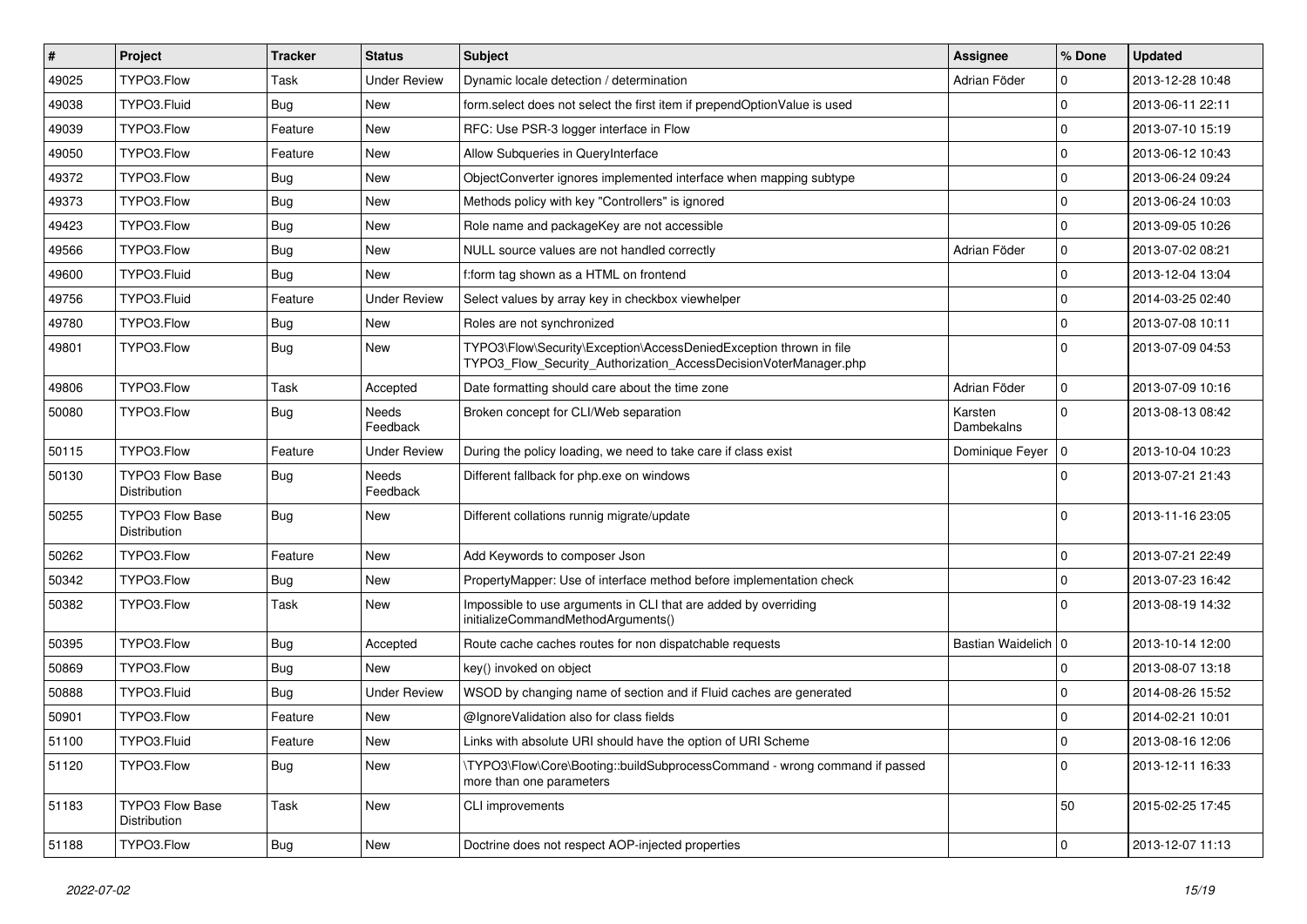| #     | Project                                       | <b>Tracker</b> | <b>Status</b>       | <b>Subject</b>                                                                                                                         | Assignee              | % Done       | <b>Updated</b>   |
|-------|-----------------------------------------------|----------------|---------------------|----------------------------------------------------------------------------------------------------------------------------------------|-----------------------|--------------|------------------|
| 49025 | TYPO3.Flow                                    | Task           | Under Review        | Dynamic locale detection / determination                                                                                               | Adrian Föder          | 0            | 2013-12-28 10:48 |
| 49038 | TYPO3.Fluid                                   | Bug            | New                 | form.select does not select the first item if prependOptionValue is used                                                               |                       | $\Omega$     | 2013-06-11 22:11 |
| 49039 | TYPO3.Flow                                    | Feature        | New                 | RFC: Use PSR-3 logger interface in Flow                                                                                                |                       | $\mathbf 0$  | 2013-07-10 15:19 |
| 49050 | TYPO3.Flow                                    | Feature        | New                 | Allow Subqueries in QueryInterface                                                                                                     |                       | $\mathbf 0$  | 2013-06-12 10:43 |
| 49372 | TYPO3.Flow                                    | <b>Bug</b>     | New                 | ObjectConverter ignores implemented interface when mapping subtype                                                                     |                       | 0            | 2013-06-24 09:24 |
| 49373 | TYPO3.Flow                                    | <b>Bug</b>     | New                 | Methods policy with key "Controllers" is ignored                                                                                       |                       | $\mathbf 0$  | 2013-06-24 10:03 |
| 49423 | TYPO3.Flow                                    | <b>Bug</b>     | New                 | Role name and packageKey are not accessible                                                                                            |                       | $\Omega$     | 2013-09-05 10:26 |
| 49566 | TYPO3.Flow                                    | <b>Bug</b>     | New                 | NULL source values are not handled correctly                                                                                           | Adrian Föder          | $\mathbf 0$  | 2013-07-02 08:21 |
| 49600 | TYPO3.Fluid                                   | <b>Bug</b>     | New                 | f:form tag shown as a HTML on frontend                                                                                                 |                       | $\Omega$     | 2013-12-04 13:04 |
| 49756 | TYPO3.Fluid                                   | Feature        | <b>Under Review</b> | Select values by array key in checkbox viewhelper                                                                                      |                       | $\Omega$     | 2014-03-25 02:40 |
| 49780 | TYPO3.Flow                                    | <b>Bug</b>     | New                 | Roles are not synchronized                                                                                                             |                       | $\mathbf 0$  | 2013-07-08 10:11 |
| 49801 | TYPO3.Flow                                    | <b>Bug</b>     | New                 | TYPO3\Flow\Security\Exception\AccessDeniedException thrown in file<br>TYPO3_Flow_Security_Authorization_AccessDecisionVoterManager.php |                       | $\Omega$     | 2013-07-09 04:53 |
| 49806 | TYPO3.Flow                                    | Task           | Accepted            | Date formatting should care about the time zone                                                                                        | Adrian Föder          | $\mathbf 0$  | 2013-07-09 10:16 |
| 50080 | TYPO3.Flow                                    | <b>Bug</b>     | Needs<br>Feedback   | Broken concept for CLI/Web separation                                                                                                  | Karsten<br>Dambekalns | $\Omega$     | 2013-08-13 08:42 |
| 50115 | TYPO3.Flow                                    | Feature        | <b>Under Review</b> | During the policy loading, we need to take care if class exist                                                                         | Dominique Feyer       | $\Omega$     | 2013-10-04 10:23 |
| 50130 | <b>TYPO3 Flow Base</b><br>Distribution        | <b>Bug</b>     | Needs<br>Feedback   | Different fallback for php.exe on windows                                                                                              |                       | $\Omega$     | 2013-07-21 21:43 |
| 50255 | <b>TYPO3 Flow Base</b><br><b>Distribution</b> | <b>Bug</b>     | New                 | Different collations runnig migrate/update                                                                                             |                       | $\Omega$     | 2013-11-16 23:05 |
| 50262 | TYPO3.Flow                                    | Feature        | New                 | Add Keywords to composer Json                                                                                                          |                       | $\mathbf 0$  | 2013-07-21 22:49 |
| 50342 | TYPO3.Flow                                    | <b>Bug</b>     | New                 | PropertyMapper: Use of interface method before implementation check                                                                    |                       | $\Omega$     | 2013-07-23 16:42 |
| 50382 | TYPO3.Flow                                    | Task           | New                 | Impossible to use arguments in CLI that are added by overriding<br>initializeCommandMethodArguments()                                  |                       | $\Omega$     | 2013-08-19 14:32 |
| 50395 | TYPO3.Flow                                    | <b>Bug</b>     | Accepted            | Route cache caches routes for non dispatchable requests                                                                                | Bastian Waidelich   0 |              | 2013-10-14 12:00 |
| 50869 | TYPO3.Flow                                    | <b>Bug</b>     | New                 | key() invoked on object                                                                                                                |                       | $\Omega$     | 2013-08-07 13:18 |
| 50888 | TYPO3.Fluid                                   | <b>Bug</b>     | <b>Under Review</b> | WSOD by changing name of section and if Fluid caches are generated                                                                     |                       | $\Omega$     | 2014-08-26 15:52 |
| 50901 | TYPO3.Flow                                    | Feature        | New                 | @IgnoreValidation also for class fields                                                                                                |                       | 0            | 2014-02-21 10:01 |
| 51100 | TYPO3.Fluid                                   | Feature        | New                 | Links with absolute URI should have the option of URI Scheme                                                                           |                       | $\mathbf{0}$ | 2013-08-16 12:06 |
| 51120 | TYPO3.Flow                                    | Bug            | New                 | TYPO3\Flow\Core\Booting::buildSubprocessCommand - wrong command if passed<br>more than one parameters                                  |                       | $\Omega$     | 2013-12-11 16:33 |
| 51183 | TYPO3 Flow Base<br>Distribution               | Task           | New                 | CLI improvements                                                                                                                       |                       | 50           | 2015-02-25 17:45 |
| 51188 | TYPO3.Flow                                    | <b>Bug</b>     | New                 | Doctrine does not respect AOP-injected properties                                                                                      |                       | $\mathbf 0$  | 2013-12-07 11:13 |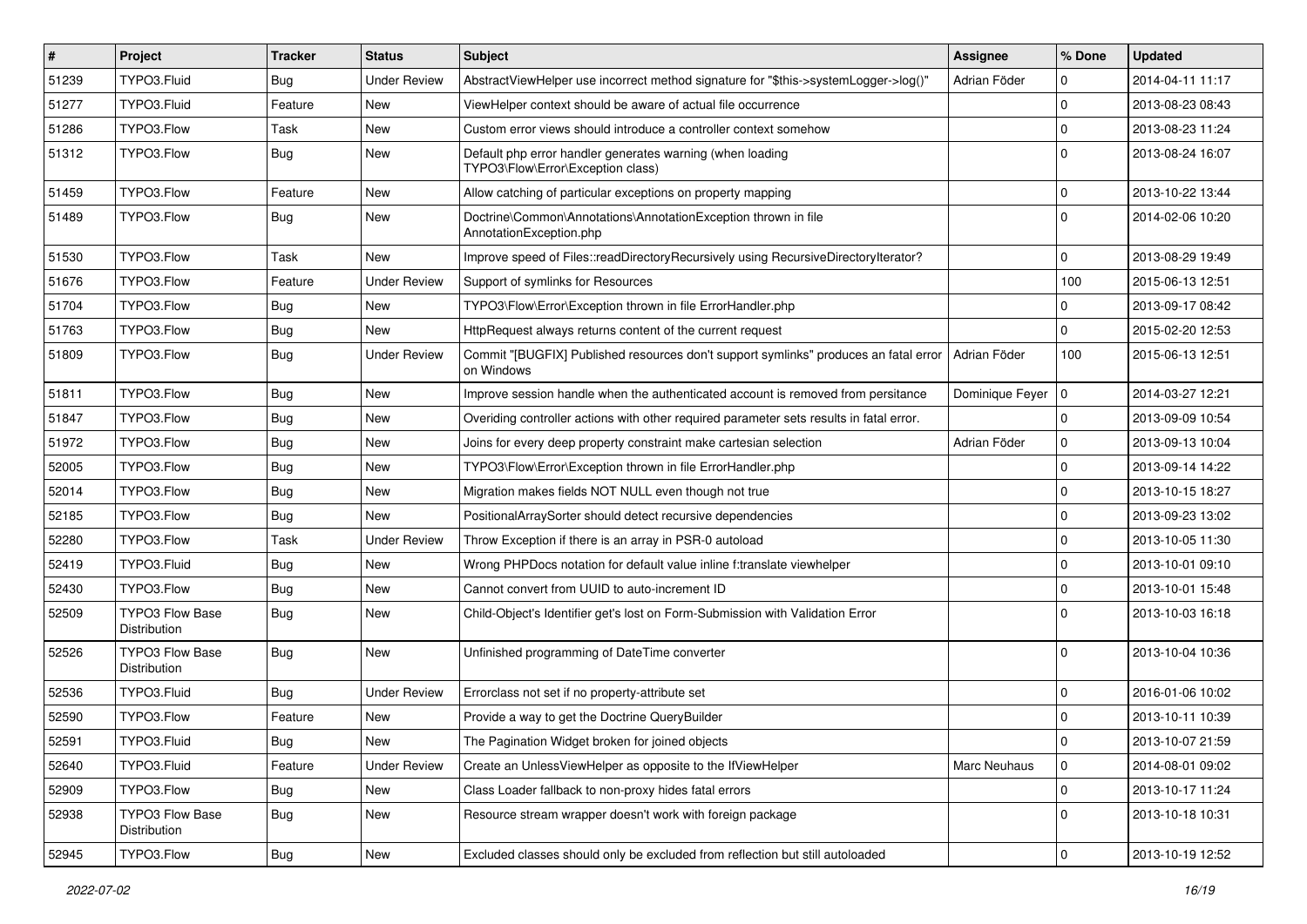| $\vert$ # | Project                                | <b>Tracker</b> | <b>Status</b>       | <b>Subject</b>                                                                                     | Assignee        | % Done         | <b>Updated</b>   |
|-----------|----------------------------------------|----------------|---------------------|----------------------------------------------------------------------------------------------------|-----------------|----------------|------------------|
| 51239     | TYPO3.Fluid                            | <b>Bug</b>     | <b>Under Review</b> | AbstractViewHelper use incorrect method signature for "\$this->systemLogger->log()"                | Adrian Föder    | 0              | 2014-04-11 11:17 |
| 51277     | TYPO3.Fluid                            | Feature        | <b>New</b>          | ViewHelper context should be aware of actual file occurrence                                       |                 | $\mathbf 0$    | 2013-08-23 08:43 |
| 51286     | TYPO3.Flow                             | Task           | New                 | Custom error views should introduce a controller context somehow                                   |                 | $\mathbf 0$    | 2013-08-23 11:24 |
| 51312     | TYPO3.Flow                             | Bug            | New                 | Default php error handler generates warning (when loading<br>TYPO3\Flow\Error\Exception class)     |                 | $\Omega$       | 2013-08-24 16:07 |
| 51459     | TYPO3.Flow                             | Feature        | New                 | Allow catching of particular exceptions on property mapping                                        |                 | 0              | 2013-10-22 13:44 |
| 51489     | TYPO3.Flow                             | <b>Bug</b>     | New                 | Doctrine\Common\Annotations\AnnotationException thrown in file<br>AnnotationException.php          |                 | $\Omega$       | 2014-02-06 10:20 |
| 51530     | TYPO3.Flow                             | Task           | New                 | Improve speed of Files::readDirectoryRecursively using RecursiveDirectoryIterator?                 |                 | 0              | 2013-08-29 19:49 |
| 51676     | TYPO3.Flow                             | Feature        | <b>Under Review</b> | Support of symlinks for Resources                                                                  |                 | 100            | 2015-06-13 12:51 |
| 51704     | TYPO3.Flow                             | <b>Bug</b>     | New                 | TYPO3\Flow\Error\Exception thrown in file ErrorHandler.php                                         |                 | 0              | 2013-09-17 08:42 |
| 51763     | TYPO3.Flow                             | Bug            | New                 | HttpRequest always returns content of the current request                                          |                 | $\Omega$       | 2015-02-20 12:53 |
| 51809     | TYPO3.Flow                             | <b>Bug</b>     | <b>Under Review</b> | Commit "[BUGFIX] Published resources don't support symlinks" produces an fatal error<br>on Windows | Adrian Föder    | 100            | 2015-06-13 12:51 |
| 51811     | TYPO3.Flow                             | Bug            | New                 | Improve session handle when the authenticated account is removed from persitance                   | Dominique Feyer | $\overline{0}$ | 2014-03-27 12:21 |
| 51847     | TYPO3.Flow                             | Bug            | New                 | Overiding controller actions with other required parameter sets results in fatal error.            |                 | $\mathbf 0$    | 2013-09-09 10:54 |
| 51972     | TYPO3.Flow                             | Bug            | New                 | Joins for every deep property constraint make cartesian selection                                  | Adrian Föder    | $\Omega$       | 2013-09-13 10:04 |
| 52005     | TYPO3.Flow                             | <b>Bug</b>     | New                 | TYPO3\Flow\Error\Exception thrown in file ErrorHandler.php                                         |                 | $\mathbf 0$    | 2013-09-14 14:22 |
| 52014     | TYPO3.Flow                             | <b>Bug</b>     | New                 | Migration makes fields NOT NULL even though not true                                               |                 | $\mathbf 0$    | 2013-10-15 18:27 |
| 52185     | TYPO3.Flow                             | Bug            | New                 | PositionalArraySorter should detect recursive dependencies                                         |                 | $\mathbf 0$    | 2013-09-23 13:02 |
| 52280     | TYPO3.Flow                             | Task           | <b>Under Review</b> | Throw Exception if there is an array in PSR-0 autoload                                             |                 | 0              | 2013-10-05 11:30 |
| 52419     | TYPO3.Fluid                            | <b>Bug</b>     | New                 | Wrong PHPDocs notation for default value inline f:translate viewhelper                             |                 | $\Omega$       | 2013-10-01 09:10 |
| 52430     | TYPO3.Flow                             | <b>Bug</b>     | New                 | Cannot convert from UUID to auto-increment ID                                                      |                 | 0              | 2013-10-01 15:48 |
| 52509     | <b>TYPO3 Flow Base</b><br>Distribution | <b>Bug</b>     | New                 | Child-Object's Identifier get's lost on Form-Submission with Validation Error                      |                 | $\Omega$       | 2013-10-03 16:18 |
| 52526     | <b>TYPO3 Flow Base</b><br>Distribution | <b>Bug</b>     | New                 | Unfinished programming of DateTime converter                                                       |                 | $\Omega$       | 2013-10-04 10:36 |
| 52536     | TYPO3.Fluid                            | <b>Bug</b>     | <b>Under Review</b> | Errorclass not set if no property-attribute set                                                    |                 | 0              | 2016-01-06 10:02 |
| 52590     | TYPO3.Flow                             | Feature        | New                 | Provide a way to get the Doctrine QueryBuilder                                                     |                 | $\mathbf 0$    | 2013-10-11 10:39 |
| 52591     | TYPO3.Fluid                            | Bug            | New                 | The Pagination Widget broken for joined objects                                                    |                 | $\mathbf{0}$   | 2013-10-07 21:59 |
| 52640     | TYPO3.Fluid                            | Feature        | <b>Under Review</b> | Create an UnlessViewHelper as opposite to the IfViewHelper                                         | Marc Neuhaus    | $\mathbf 0$    | 2014-08-01 09:02 |
| 52909     | TYPO3.Flow                             | <b>Bug</b>     | New                 | Class Loader fallback to non-proxy hides fatal errors                                              |                 | $\mathbf 0$    | 2013-10-17 11:24 |
| 52938     | <b>TYPO3 Flow Base</b><br>Distribution | <b>Bug</b>     | New                 | Resource stream wrapper doesn't work with foreign package                                          |                 | $\mathbf 0$    | 2013-10-18 10:31 |
| 52945     | TYPO3.Flow                             | <b>Bug</b>     | New                 | Excluded classes should only be excluded from reflection but still autoloaded                      |                 | $\mathbf 0$    | 2013-10-19 12:52 |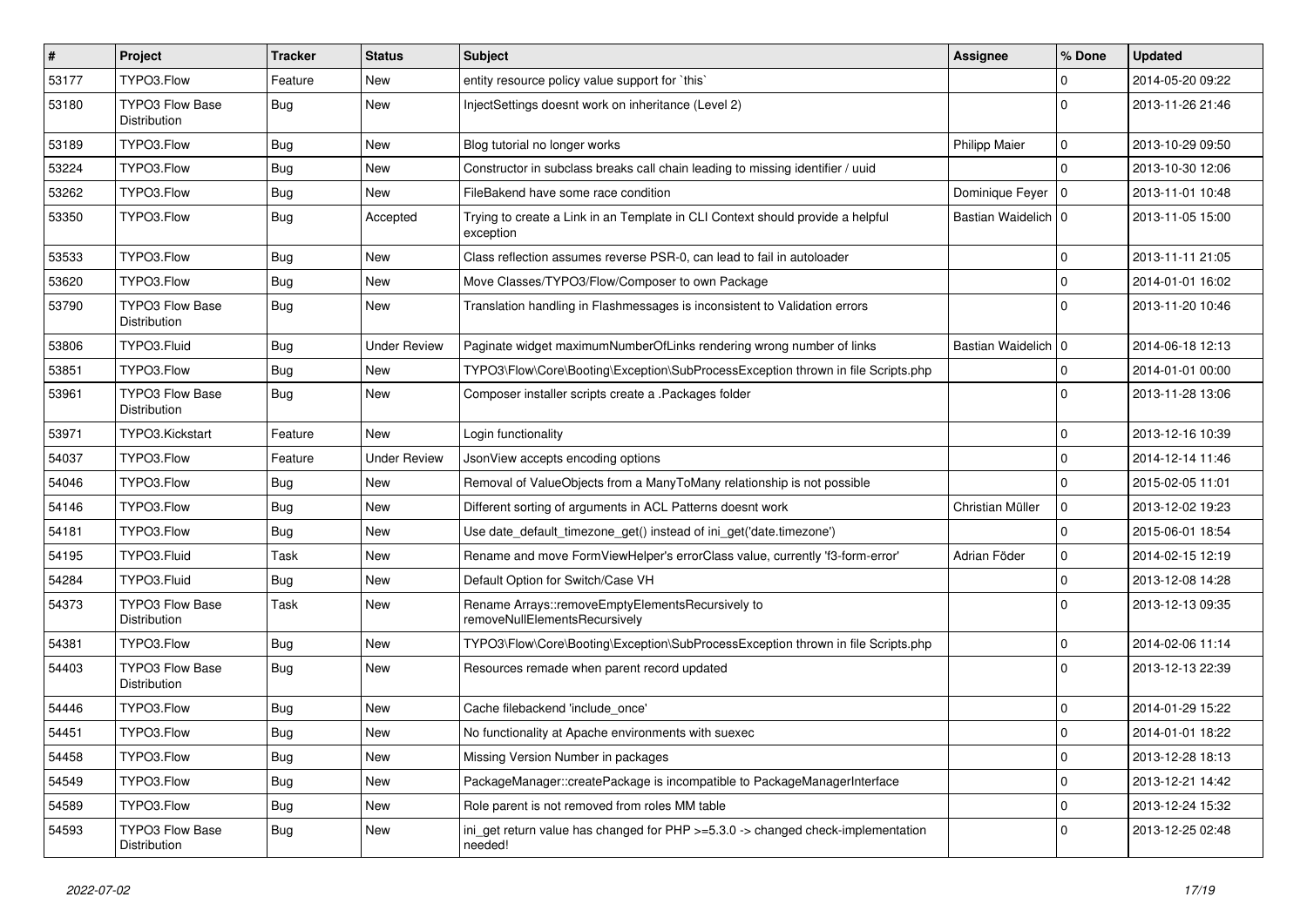| $\vert$ # | Project                                       | <b>Tracker</b> | <b>Status</b>       | Subject                                                                                     | Assignee              | % Done         | <b>Updated</b>   |
|-----------|-----------------------------------------------|----------------|---------------------|---------------------------------------------------------------------------------------------|-----------------------|----------------|------------------|
| 53177     | TYPO3.Flow                                    | Feature        | New                 | entity resource policy value support for `this`                                             |                       | $\mathbf 0$    | 2014-05-20 09:22 |
| 53180     | <b>TYPO3 Flow Base</b><br><b>Distribution</b> | <b>Bug</b>     | New                 | InjectSettings doesnt work on inheritance (Level 2)                                         |                       | $\Omega$       | 2013-11-26 21:46 |
| 53189     | TYPO3.Flow                                    | Bug            | New                 | Blog tutorial no longer works                                                               | <b>Philipp Maier</b>  | $\mathbf 0$    | 2013-10-29 09:50 |
| 53224     | TYPO3.Flow                                    | Bug            | New                 | Constructor in subclass breaks call chain leading to missing identifier / uuid              |                       | $\Omega$       | 2013-10-30 12:06 |
| 53262     | TYPO3.Flow                                    | Bug            | New                 | FileBakend have some race condition                                                         | Dominique Feyer       | $\overline{0}$ | 2013-11-01 10:48 |
| 53350     | TYPO3.Flow                                    | Bug            | Accepted            | Trying to create a Link in an Template in CLI Context should provide a helpful<br>exception | Bastian Waidelich   0 |                | 2013-11-05 15:00 |
| 53533     | TYPO3.Flow                                    | Bug            | New                 | Class reflection assumes reverse PSR-0, can lead to fail in autoloader                      |                       | $\mathbf 0$    | 2013-11-11 21:05 |
| 53620     | TYPO3.Flow                                    | <b>Bug</b>     | New                 | Move Classes/TYPO3/Flow/Composer to own Package                                             |                       | $\Omega$       | 2014-01-01 16:02 |
| 53790     | <b>TYPO3 Flow Base</b><br>Distribution        | <b>Bug</b>     | New                 | Translation handling in Flashmessages is inconsistent to Validation errors                  |                       | $\Omega$       | 2013-11-20 10:46 |
| 53806     | TYPO3.Fluid                                   | Bug            | <b>Under Review</b> | Paginate widget maximumNumberOfLinks rendering wrong number of links                        | Bastian Waidelich   0 |                | 2014-06-18 12:13 |
| 53851     | TYPO3.Flow                                    | Bug            | New                 | TYPO3\Flow\Core\Booting\Exception\SubProcessException thrown in file Scripts.php            |                       | $\mathbf 0$    | 2014-01-01 00:00 |
| 53961     | TYPO3 Flow Base<br>Distribution               | Bug            | New                 | Composer installer scripts create a .Packages folder                                        |                       | $\Omega$       | 2013-11-28 13:06 |
| 53971     | TYPO3.Kickstart                               | Feature        | New                 | Login functionality                                                                         |                       | $\mathbf 0$    | 2013-12-16 10:39 |
| 54037     | TYPO3.Flow                                    | Feature        | <b>Under Review</b> | JsonView accepts encoding options                                                           |                       | $\mathbf 0$    | 2014-12-14 11:46 |
| 54046     | TYPO3.Flow                                    | Bug            | New                 | Removal of ValueObjects from a ManyToMany relationship is not possible                      |                       | $\mathbf{0}$   | 2015-02-05 11:01 |
| 54146     | TYPO3.Flow                                    | Bug            | New                 | Different sorting of arguments in ACL Patterns doesnt work                                  | Christian Müller      | $\mathbf 0$    | 2013-12-02 19:23 |
| 54181     | TYPO3.Flow                                    | Bug            | New                 | Use date_default_timezone_get() instead of ini_get('date.timezone')                         |                       | $\mathbf 0$    | 2015-06-01 18:54 |
| 54195     | TYPO3.Fluid                                   | Task           | New                 | Rename and move FormViewHelper's errorClass value, currently 'f3-form-error'                | Adrian Föder          | $\mathbf 0$    | 2014-02-15 12:19 |
| 54284     | TYPO3.Fluid                                   | Bug            | New                 | Default Option for Switch/Case VH                                                           |                       | $\Omega$       | 2013-12-08 14:28 |
| 54373     | <b>TYPO3 Flow Base</b><br>Distribution        | Task           | New                 | Rename Arrays::removeEmptyElementsRecursively to<br>removeNullElementsRecursively           |                       | $\Omega$       | 2013-12-13 09:35 |
| 54381     | TYPO3.Flow                                    | <b>Bug</b>     | New                 | TYPO3\Flow\Core\Booting\Exception\SubProcessException thrown in file Scripts.php            |                       | $\mathbf 0$    | 2014-02-06 11:14 |
| 54403     | <b>TYPO3 Flow Base</b><br><b>Distribution</b> | Bug            | New                 | Resources remade when parent record updated                                                 |                       | $\Omega$       | 2013-12-13 22:39 |
| 54446     | TYPO3.Flow                                    | <b>Bug</b>     | <b>New</b>          | Cache filebackend 'include_once'                                                            |                       | $\mathbf 0$    | 2014-01-29 15:22 |
| 54451     | TYPO3.Flow                                    | Bug            | New                 | No functionality at Apache environments with suexec                                         |                       | $\overline{0}$ | 2014-01-01 18:22 |
| 54458     | TYPO3.Flow                                    | <b>Bug</b>     | New                 | Missing Version Number in packages                                                          |                       | $\mathbf 0$    | 2013-12-28 18:13 |
| 54549     | TYPO3.Flow                                    | <b>Bug</b>     | New                 | PackageManager::createPackage is incompatible to PackageManagerInterface                    |                       | $\mathbf 0$    | 2013-12-21 14:42 |
| 54589     | TYPO3.Flow                                    | <b>Bug</b>     | New                 | Role parent is not removed from roles MM table                                              |                       | $\pmb{0}$      | 2013-12-24 15:32 |
| 54593     | TYPO3 Flow Base<br>Distribution               | <b>Bug</b>     | New                 | ini_get return value has changed for PHP >=5.3.0 -> changed check-implementation<br>needed! |                       | $\mathbf 0$    | 2013-12-25 02:48 |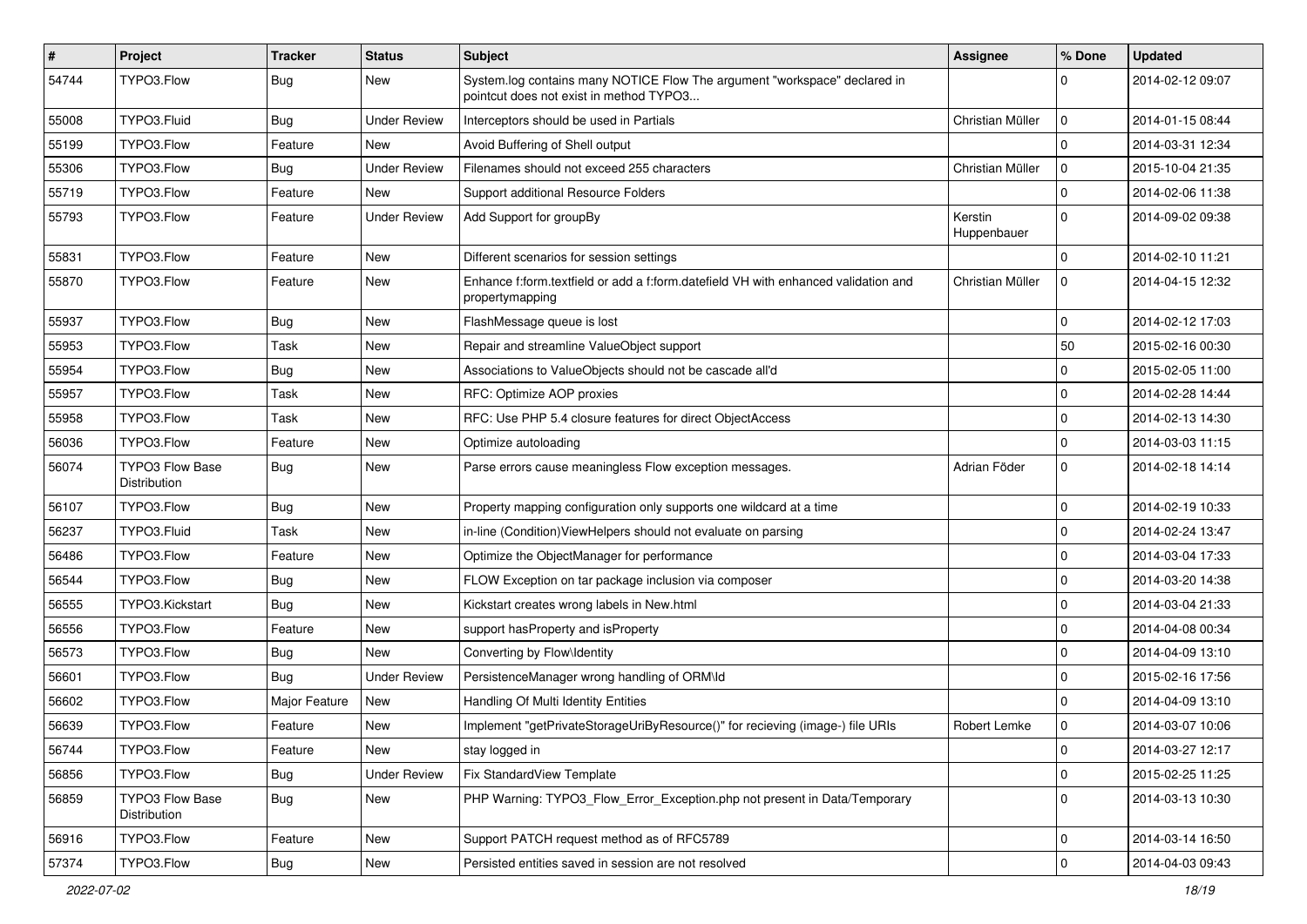| $\sharp$ | Project                                | <b>Tracker</b> | <b>Status</b>       | <b>Subject</b>                                                                                                       | Assignee               | % Done      | <b>Updated</b>   |
|----------|----------------------------------------|----------------|---------------------|----------------------------------------------------------------------------------------------------------------------|------------------------|-------------|------------------|
| 54744    | TYPO3.Flow                             | <b>Bug</b>     | New                 | System.log contains many NOTICE Flow The argument "workspace" declared in<br>pointcut does not exist in method TYPO3 |                        | 0           | 2014-02-12 09:07 |
| 55008    | TYPO3.Fluid                            | Bug            | <b>Under Review</b> | Interceptors should be used in Partials                                                                              | Christian Müller       | 0           | 2014-01-15 08:44 |
| 55199    | TYPO3.Flow                             | Feature        | New                 | Avoid Buffering of Shell output                                                                                      |                        | $\Omega$    | 2014-03-31 12:34 |
| 55306    | TYPO3.Flow                             | Bug            | <b>Under Review</b> | Filenames should not exceed 255 characters                                                                           | Christian Müller       | $\mathbf 0$ | 2015-10-04 21:35 |
| 55719    | TYPO3.Flow                             | Feature        | New                 | Support additional Resource Folders                                                                                  |                        | $\mathbf 0$ | 2014-02-06 11:38 |
| 55793    | TYPO3.Flow                             | Feature        | <b>Under Review</b> | Add Support for groupBy                                                                                              | Kerstin<br>Huppenbauer | $\Omega$    | 2014-09-02 09:38 |
| 55831    | TYPO3.Flow                             | Feature        | New                 | Different scenarios for session settings                                                                             |                        | $\mathbf 0$ | 2014-02-10 11:21 |
| 55870    | TYPO3.Flow                             | Feature        | New                 | Enhance f:form.textfield or add a f:form.datefield VH with enhanced validation and<br>propertymapping                | Christian Müller       | $\mathbf 0$ | 2014-04-15 12:32 |
| 55937    | TYPO3.Flow                             | <b>Bug</b>     | New                 | FlashMessage queue is lost                                                                                           |                        | 0           | 2014-02-12 17:03 |
| 55953    | TYPO3.Flow                             | Task           | New                 | Repair and streamline ValueObject support                                                                            |                        | 50          | 2015-02-16 00:30 |
| 55954    | TYPO3.Flow                             | <b>Bug</b>     | New                 | Associations to ValueObjects should not be cascade all'd                                                             |                        | 0           | 2015-02-05 11:00 |
| 55957    | TYPO3.Flow                             | Task           | New                 | RFC: Optimize AOP proxies                                                                                            |                        | $\mathbf 0$ | 2014-02-28 14:44 |
| 55958    | TYPO3.Flow                             | Task           | New                 | RFC: Use PHP 5.4 closure features for direct ObjectAccess                                                            |                        | $\mathbf 0$ | 2014-02-13 14:30 |
| 56036    | TYPO3.Flow                             | Feature        | New                 | Optimize autoloading                                                                                                 |                        | $\mathbf 0$ | 2014-03-03 11:15 |
| 56074    | TYPO3 Flow Base<br>Distribution        | <b>Bug</b>     | New                 | Parse errors cause meaningless Flow exception messages.                                                              | Adrian Föder           | $\mathbf 0$ | 2014-02-18 14:14 |
| 56107    | TYPO3.Flow                             | <b>Bug</b>     | New                 | Property mapping configuration only supports one wildcard at a time                                                  |                        | 0           | 2014-02-19 10:33 |
| 56237    | TYPO3.Fluid                            | Task           | New                 | in-line (Condition) ViewHelpers should not evaluate on parsing                                                       |                        | $\mathbf 0$ | 2014-02-24 13:47 |
| 56486    | TYPO3.Flow                             | Feature        | New                 | Optimize the ObjectManager for performance                                                                           |                        | $\mathbf 0$ | 2014-03-04 17:33 |
| 56544    | TYPO3.Flow                             | Bug            | New                 | FLOW Exception on tar package inclusion via composer                                                                 |                        | $\mathbf 0$ | 2014-03-20 14:38 |
| 56555    | TYPO3.Kickstart                        | Bug            | New                 | Kickstart creates wrong labels in New.html                                                                           |                        | 0           | 2014-03-04 21:33 |
| 56556    | TYPO3.Flow                             | Feature        | New                 | support hasProperty and isProperty                                                                                   |                        | $\mathbf 0$ | 2014-04-08 00:34 |
| 56573    | TYPO3.Flow                             | Bug            | New                 | Converting by Flow\Identity                                                                                          |                        | $\mathbf 0$ | 2014-04-09 13:10 |
| 56601    | TYPO3.Flow                             | Bug            | Under Review        | PersistenceManager wrong handling of ORM\ld                                                                          |                        | 0           | 2015-02-16 17:56 |
| 56602    | TYPO3.Flow                             | Major Feature  | New                 | Handling Of Multi Identity Entities                                                                                  |                        | $\Omega$    | 2014-04-09 13:10 |
| 56639    | TYPO3.Flow                             | Feature        | New                 | Implement "getPrivateStorageUriByResource()" for recieving (image-) file URIs                                        | Robert Lemke           | 0           | 2014-03-07 10:06 |
| 56744    | TYPO3.Flow                             | Feature        | New                 | stay logged in                                                                                                       |                        | $\mathbf 0$ | 2014-03-27 12:17 |
| 56856    | TYPO3.Flow                             | <b>Bug</b>     | <b>Under Review</b> | Fix StandardView Template                                                                                            |                        | $\mathbf 0$ | 2015-02-25 11:25 |
| 56859    | <b>TYPO3 Flow Base</b><br>Distribution | Bug            | New                 | PHP Warning: TYPO3_Flow_Error_Exception.php not present in Data/Temporary                                            |                        | $\mathbf 0$ | 2014-03-13 10:30 |
| 56916    | TYPO3.Flow                             | Feature        | New                 | Support PATCH request method as of RFC5789                                                                           |                        | $\mathbf 0$ | 2014-03-14 16:50 |
| 57374    | TYPO3.Flow                             | Bug            | New                 | Persisted entities saved in session are not resolved                                                                 |                        | $\mathbf 0$ | 2014-04-03 09:43 |